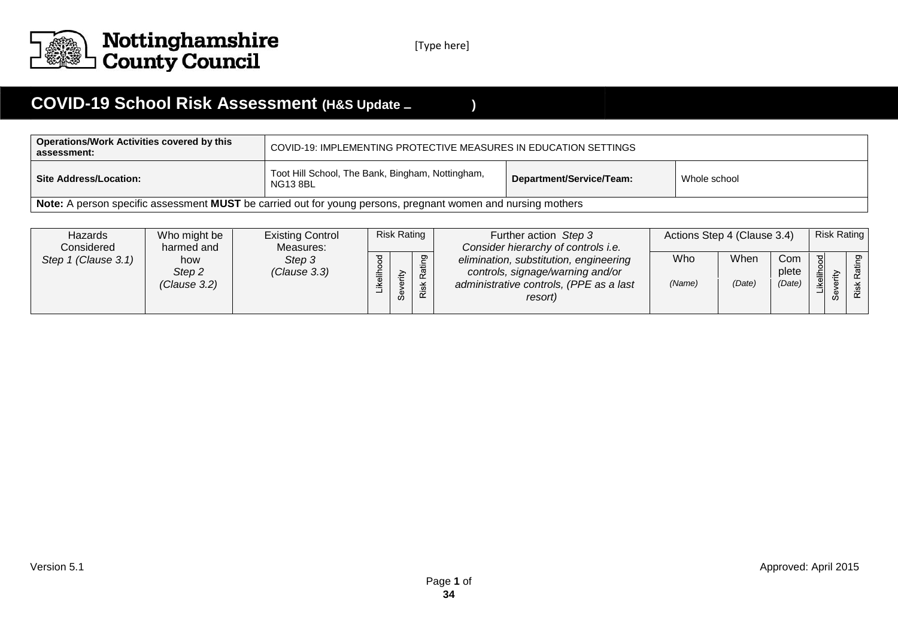

## **COVID-19 School Risk Assessment (H&S Update – )**

| <b>Operations/Work Activities covered by this</b><br>assessment:                                             | COVID-19: IMPLEMENTING PROTECTIVE MEASURES IN EDUCATION SETTINGS |                          |              |  |  |  |  |  |
|--------------------------------------------------------------------------------------------------------------|------------------------------------------------------------------|--------------------------|--------------|--|--|--|--|--|
| <b>Site Address/Location:</b>                                                                                | Toot Hill School, The Bank, Bingham, Nottingham,<br>NG13 8BL     | Department/Service/Team: | Whole school |  |  |  |  |  |
| Note: A person specific assessment MUST be carried out for young persons, pregnant women and nursing mothers |                                                                  |                          |              |  |  |  |  |  |

| Hazards<br>Considered | Who might be<br>harmed and               | <b>Existing Control</b><br>Measures: |   | <b>Risk Rating</b> |                   | Further action Step 3<br>Consider hierarchy of controls i.e.                                                                     | Actions Step 4 (Clause 3.4) |                |                        |        |    | <b>Risk Rating</b> |
|-----------------------|------------------------------------------|--------------------------------------|---|--------------------|-------------------|----------------------------------------------------------------------------------------------------------------------------------|-----------------------------|----------------|------------------------|--------|----|--------------------|
| Step 1 (Clause 3.1)   | how<br>Step <sub>2</sub><br>(Clause 3.2) | Step 3<br>(Clause 3.3)               | 高 | Έ<br>Ø             | 0<br>ድ<br>¥<br>ïΫ | elimination, substitution, engineering<br>controls, signage/warning and/or<br>administrative controls, (PPE as a last<br>resort) | Who<br>(Name)               | When<br>(Date) | Com<br>plete<br>(Date) | ikelih | တိ | פַ<br>造<br>శ<br>ïΫ |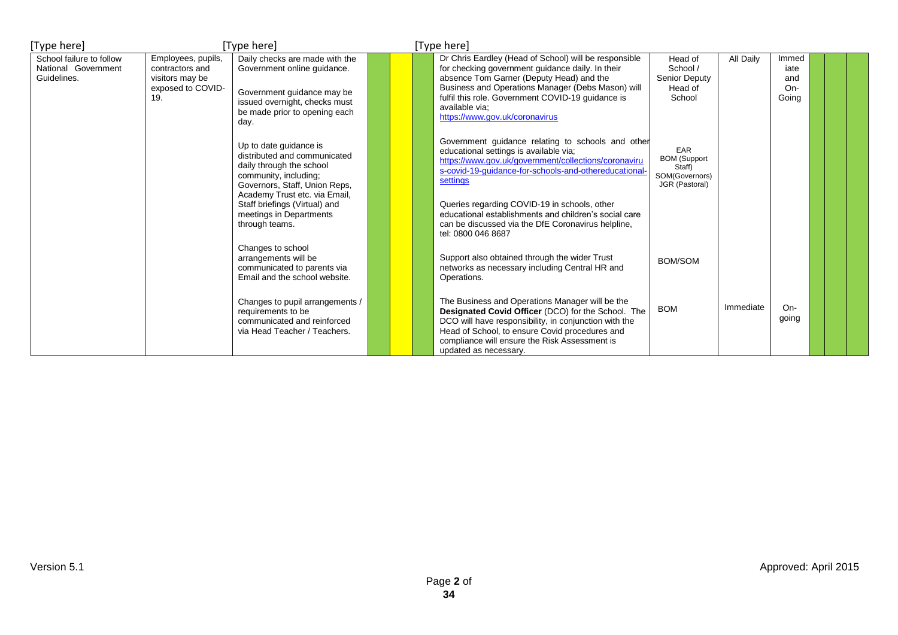| [Type here]                                                    |                                                                                      | [Type here]                                                                                                                                                                                                                                                 |  | [Type here]                                                                                                                                                                                                                                                                                                                                                                                                   |                                                                          |           |                                      |  |  |
|----------------------------------------------------------------|--------------------------------------------------------------------------------------|-------------------------------------------------------------------------------------------------------------------------------------------------------------------------------------------------------------------------------------------------------------|--|---------------------------------------------------------------------------------------------------------------------------------------------------------------------------------------------------------------------------------------------------------------------------------------------------------------------------------------------------------------------------------------------------------------|--------------------------------------------------------------------------|-----------|--------------------------------------|--|--|
| School failure to follow<br>National Government<br>Guidelines. | Employees, pupils,<br>contractors and<br>visitors may be<br>exposed to COVID-<br>19. | Daily checks are made with the<br>Government online guidance.<br>Government guidance may be<br>issued overnight, checks must<br>be made prior to opening each<br>day.                                                                                       |  | Dr Chris Eardley (Head of School) will be responsible<br>for checking government guidance daily. In their<br>absence Tom Garner (Deputy Head) and the<br>Business and Operations Manager (Debs Mason) will<br>fulfil this role. Government COVID-19 guidance is<br>available via:<br>https://www.gov.uk/coronavirus                                                                                           | Head of<br>School /<br>Senior Deputy<br>Head of<br>School                | All Daily | Immed<br>iate<br>and<br>On-<br>Going |  |  |
|                                                                |                                                                                      | Up to date quidance is<br>distributed and communicated<br>daily through the school<br>community, including;<br>Governors, Staff, Union Reps,<br>Academy Trust etc. via Email,<br>Staff briefings (Virtual) and<br>meetings in Departments<br>through teams. |  | Government guidance relating to schools and other<br>educational settings is available via;<br>https://www.gov.uk/government/collections/coronaviru<br>s-covid-19-guidance-for-schools-and-othereducational-<br>settings<br>Queries regarding COVID-19 in schools, other<br>educational establishments and children's social care<br>can be discussed via the DfE Coronavirus helpline,<br>tel: 0800 046 8687 | EAR<br><b>BOM</b> (Support<br>Staff)<br>SOM(Governors)<br>JGR (Pastoral) |           |                                      |  |  |
|                                                                |                                                                                      | Changes to school<br>arrangements will be<br>communicated to parents via<br>Email and the school website.                                                                                                                                                   |  | Support also obtained through the wider Trust<br>networks as necessary including Central HR and<br>Operations.                                                                                                                                                                                                                                                                                                | <b>BOM/SOM</b>                                                           |           |                                      |  |  |
|                                                                |                                                                                      | Changes to pupil arrangements /<br>requirements to be<br>communicated and reinforced<br>via Head Teacher / Teachers.                                                                                                                                        |  | The Business and Operations Manager will be the<br>Designated Covid Officer (DCO) for the School. The<br>DCO will have responsibility, in conjunction with the<br>Head of School, to ensure Covid procedures and<br>compliance will ensure the Risk Assessment is<br>updated as necessary.                                                                                                                    | <b>BOM</b>                                                               | Immediate | On-<br>going                         |  |  |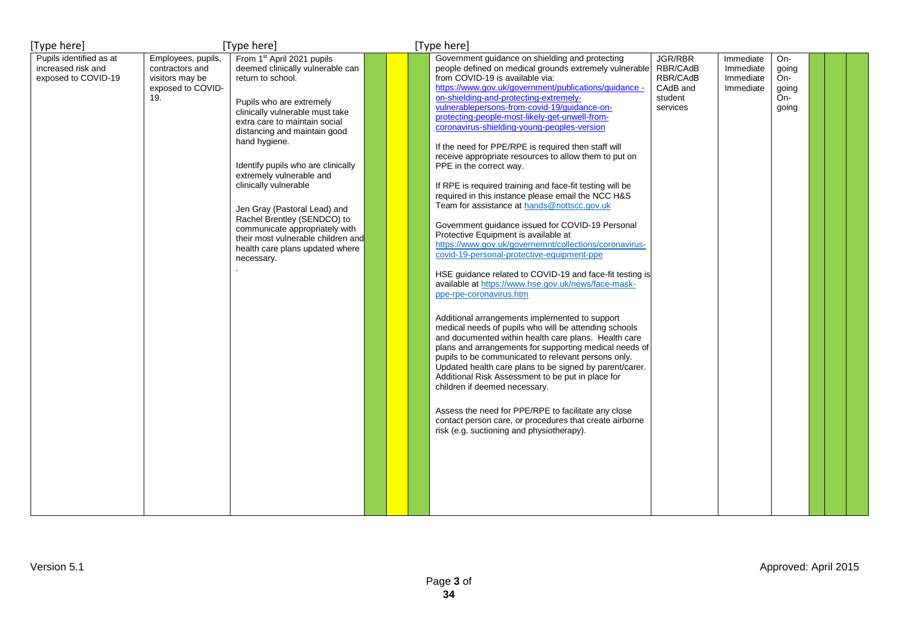| [Type here]                                                          |                                                                                      | [Type here]                                                                                                                                                                                                                                                                                                                                                                                                                                                                                                             |  | [Type here]                                                                                                                                                                                                                                                                                                                                                                                                                                                                                                                                                                                                                                                                                                                                                                                                                                                                                                                                                                                                                                                                                                                                                                                                                                                                                                                                                                                                                                                                                                                                                                                                                                                        |                                                                    |                                                  |                                              |  |  |
|----------------------------------------------------------------------|--------------------------------------------------------------------------------------|-------------------------------------------------------------------------------------------------------------------------------------------------------------------------------------------------------------------------------------------------------------------------------------------------------------------------------------------------------------------------------------------------------------------------------------------------------------------------------------------------------------------------|--|--------------------------------------------------------------------------------------------------------------------------------------------------------------------------------------------------------------------------------------------------------------------------------------------------------------------------------------------------------------------------------------------------------------------------------------------------------------------------------------------------------------------------------------------------------------------------------------------------------------------------------------------------------------------------------------------------------------------------------------------------------------------------------------------------------------------------------------------------------------------------------------------------------------------------------------------------------------------------------------------------------------------------------------------------------------------------------------------------------------------------------------------------------------------------------------------------------------------------------------------------------------------------------------------------------------------------------------------------------------------------------------------------------------------------------------------------------------------------------------------------------------------------------------------------------------------------------------------------------------------------------------------------------------------|--------------------------------------------------------------------|--------------------------------------------------|----------------------------------------------|--|--|
| Pupils identified as at<br>increased risk and<br>exposed to COVID-19 | Employees, pupils,<br>contractors and<br>visitors may be<br>exposed to COVID-<br>19. | From 1st April 2021 pupils<br>deemed clinically vulnerable can<br>return to school.<br>Pupils who are extremely<br>clinically vulnerable must take<br>extra care to maintain social<br>distancing and maintain good<br>hand hygiene.<br>Identify pupils who are clinically<br>extremely vulnerable and<br>clinically vulnerable<br>Jen Gray (Pastoral Lead) and<br>Rachel Brentley (SENDCO) to<br>communicate appropriately with<br>their most vulnerable children and<br>health care plans updated where<br>necessary. |  | Government guidance on shielding and protecting<br>people defined on medical grounds extremely vulnerable<br>from COVID-19 is available via:<br>https://www.gov.uk/government/publications/guidance -<br>on-shielding-and-protecting-extremely-<br>vulnerablepersons-from-covid-19/guidance-on-<br>protecting-people-most-likely-get-unwell-from-<br>coronavirus-shielding-young-peoples-version<br>If the need for PPE/RPE is required then staff will<br>receive appropriate resources to allow them to put on<br>PPE in the correct way.<br>If RPE is required training and face-fit testing will be<br>required in this instance please email the NCC H&S<br>Team for assistance at hands@nottscc.gov.uk<br>Government guidance issued for COVID-19 Personal<br>Protective Equipment is available at<br>https://www.gov.uk/governemnt/collections/coronavirus-<br>covid-19-personal-protective-equipment-ppe<br>HSE guidance related to COVID-19 and face-fit testing is<br>available at https://www.hse.gov.uk/news/face-mask-<br>ppe-rpe-coronavirus.htm<br>Additional arrangements implemented to support<br>medical needs of pupils who will be attending schools<br>and documented within health care plans. Health care<br>plans and arrangements for supporting medical needs of<br>pupils to be communicated to relevant persons only.<br>Updated health care plans to be signed by parent/carer.<br>Additional Risk Assessment to be put in place for<br>children if deemed necessary.<br>Assess the need for PPE/RPE to facilitate any close<br>contact person care, or procedures that create airborne<br>risk (e.g. suctioning and physiotherapy). | JGR/RBR<br>RBR/CAdB<br>RBR/CAdB<br>CAdB and<br>student<br>services | Immediate<br>Immediate<br>Immediate<br>Immediate | On-<br>going<br>On-<br>going<br>On-<br>going |  |  |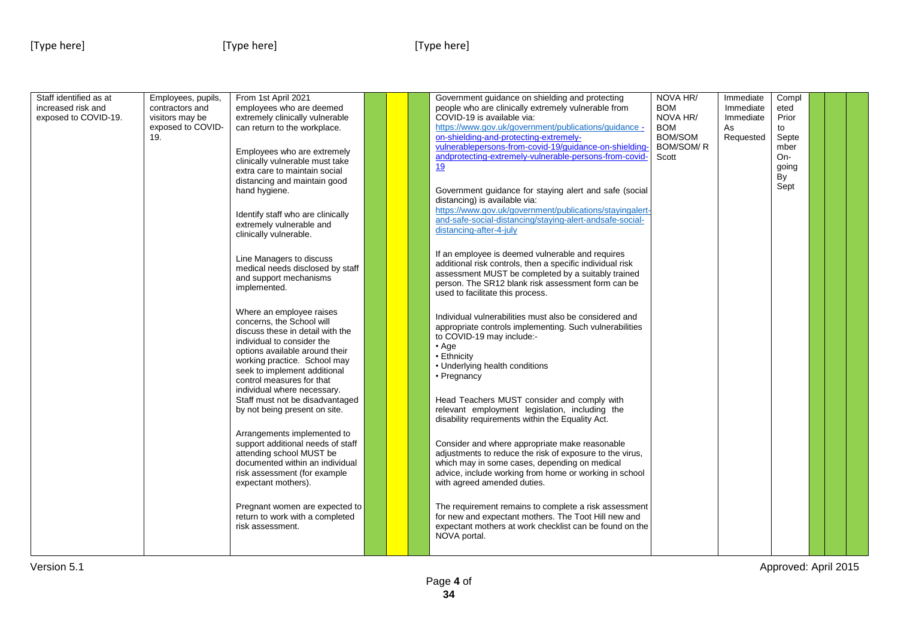| Staff identified as at<br>increased risk and<br>exposed to COVID-19. | Employees, pupils,<br>contractors and<br>visitors may be<br>exposed to COVID-<br>19. | From 1st April 2021<br>employees who are deemed<br>extremely clinically vulnerable<br>can return to the workplace.<br>Employees who are extremely<br>clinically vulnerable must take<br>extra care to maintain social<br>distancing and maintain good<br>hand hygiene.<br>Identify staff who are clinically<br>extremely vulnerable and<br>clinically vulnerable.<br>Line Managers to discuss<br>medical needs disclosed by staff<br>and support mechanisms<br>implemented.<br>Where an employee raises<br>concerns, the School will<br>discuss these in detail with the<br>individual to consider the<br>options available around their<br>working practice. School may<br>seek to implement additional<br>control measures for that<br>individual where necessary.<br>Staff must not be disadvantaged<br>by not being present on site.<br>Arrangements implemented to<br>support additional needs of staff<br>attending school MUST be<br>documented within an individual<br>risk assessment (for example | Government guidance on shielding and protecting<br>people who are clinically extremely vulnerable from<br>COVID-19 is available via:<br>https://www.gov.uk/government/publications/guidance -<br>on-shielding-and-protecting-extremely-<br>vulnerablepersons-from-covid-19/guidance-on-shielding-<br>andprotecting-extremely-vulnerable-persons-from-covid-<br>$\overline{19}$<br>Government guidance for staying alert and safe (social<br>distancing) is available via:<br>https://www.gov.uk/government/publications/stayingalert-<br>and-safe-social-distancing/staying-alert-andsafe-social-<br>distancing-after-4-july<br>If an employee is deemed vulnerable and requires<br>additional risk controls, then a specific individual risk<br>assessment MUST be completed by a suitably trained<br>person. The SR12 blank risk assessment form can be<br>used to facilitate this process.<br>Individual vulnerabilities must also be considered and<br>appropriate controls implementing. Such vulnerabilities<br>to COVID-19 may include:-<br>$\cdot$ Age<br>• Ethnicity<br>• Underlying health conditions<br>• Pregnancy<br>Head Teachers MUST consider and comply with<br>relevant employment legislation, including the<br>disability requirements within the Equality Act.<br>Consider and where appropriate make reasonable<br>adjustments to reduce the risk of exposure to the virus,<br>which may in some cases, depending on medical<br>advice, include working from home or working in school | NOVA HR/<br><b>BOM</b><br>NOVA HR/<br><b>BOM</b><br><b>BOM/SOM</b><br><b>BOM/SOM/R</b><br>Scott | Immediate<br>Immediate<br>Immediate<br>As<br>Requested | Compl<br>eted<br>Prior<br>to<br>Septe<br>mber<br>$On-$<br>going<br>By<br>Sept |  |
|----------------------------------------------------------------------|--------------------------------------------------------------------------------------|-------------------------------------------------------------------------------------------------------------------------------------------------------------------------------------------------------------------------------------------------------------------------------------------------------------------------------------------------------------------------------------------------------------------------------------------------------------------------------------------------------------------------------------------------------------------------------------------------------------------------------------------------------------------------------------------------------------------------------------------------------------------------------------------------------------------------------------------------------------------------------------------------------------------------------------------------------------------------------------------------------------|--------------------------------------------------------------------------------------------------------------------------------------------------------------------------------------------------------------------------------------------------------------------------------------------------------------------------------------------------------------------------------------------------------------------------------------------------------------------------------------------------------------------------------------------------------------------------------------------------------------------------------------------------------------------------------------------------------------------------------------------------------------------------------------------------------------------------------------------------------------------------------------------------------------------------------------------------------------------------------------------------------------------------------------------------------------------------------------------------------------------------------------------------------------------------------------------------------------------------------------------------------------------------------------------------------------------------------------------------------------------------------------------------------------------------------------------------------------------------------------------------------------|-------------------------------------------------------------------------------------------------|--------------------------------------------------------|-------------------------------------------------------------------------------|--|
|                                                                      |                                                                                      | expectant mothers).                                                                                                                                                                                                                                                                                                                                                                                                                                                                                                                                                                                                                                                                                                                                                                                                                                                                                                                                                                                         | with agreed amended duties.                                                                                                                                                                                                                                                                                                                                                                                                                                                                                                                                                                                                                                                                                                                                                                                                                                                                                                                                                                                                                                                                                                                                                                                                                                                                                                                                                                                                                                                                                  |                                                                                                 |                                                        |                                                                               |  |
|                                                                      |                                                                                      | Pregnant women are expected to<br>return to work with a completed<br>risk assessment.                                                                                                                                                                                                                                                                                                                                                                                                                                                                                                                                                                                                                                                                                                                                                                                                                                                                                                                       | The requirement remains to complete a risk assessment<br>for new and expectant mothers. The Toot Hill new and<br>expectant mothers at work checklist can be found on the<br>NOVA portal.                                                                                                                                                                                                                                                                                                                                                                                                                                                                                                                                                                                                                                                                                                                                                                                                                                                                                                                                                                                                                                                                                                                                                                                                                                                                                                                     |                                                                                                 |                                                        |                                                                               |  |
| Version 5.1                                                          |                                                                                      |                                                                                                                                                                                                                                                                                                                                                                                                                                                                                                                                                                                                                                                                                                                                                                                                                                                                                                                                                                                                             |                                                                                                                                                                                                                                                                                                                                                                                                                                                                                                                                                                                                                                                                                                                                                                                                                                                                                                                                                                                                                                                                                                                                                                                                                                                                                                                                                                                                                                                                                                              |                                                                                                 |                                                        | Approved: April 2015                                                          |  |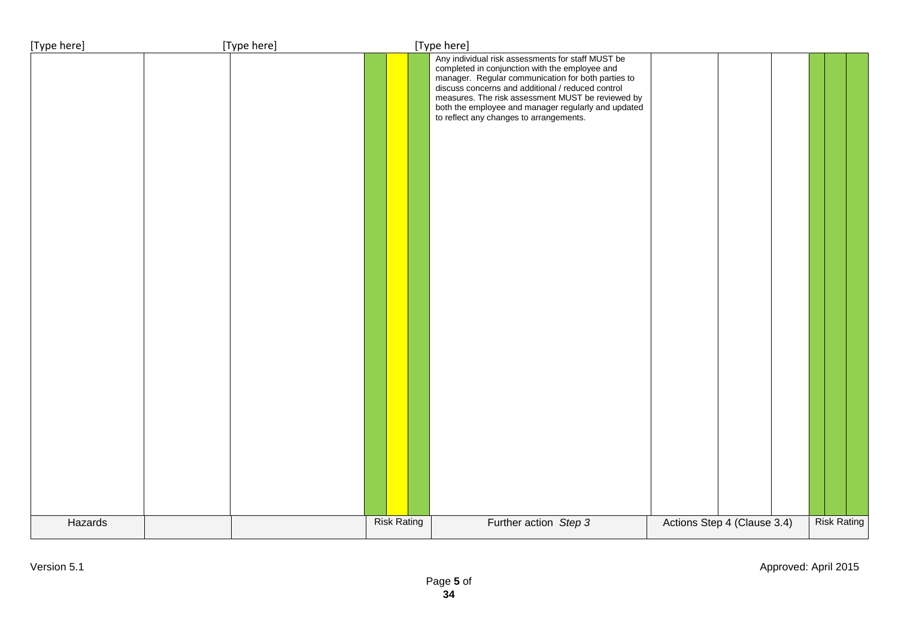| [Type here] | [Type here] |                    | [Type here]<br>Any individual risk assessments for staff MUST be<br>completed in conjunction with the employee and<br>manager. Regular communication for both parties to<br>discuss concerns and additional / reduced control<br>measures. The risk assessment MUST be reviewed by<br>both the employee and manager regularly and updated<br>to reflect any changes to arrangements. |                             |  |                    |  |
|-------------|-------------|--------------------|--------------------------------------------------------------------------------------------------------------------------------------------------------------------------------------------------------------------------------------------------------------------------------------------------------------------------------------------------------------------------------------|-----------------------------|--|--------------------|--|
| Hazards     |             | <b>Risk Rating</b> | Further action Step 3                                                                                                                                                                                                                                                                                                                                                                | Actions Step 4 (Clause 3.4) |  | <b>Risk Rating</b> |  |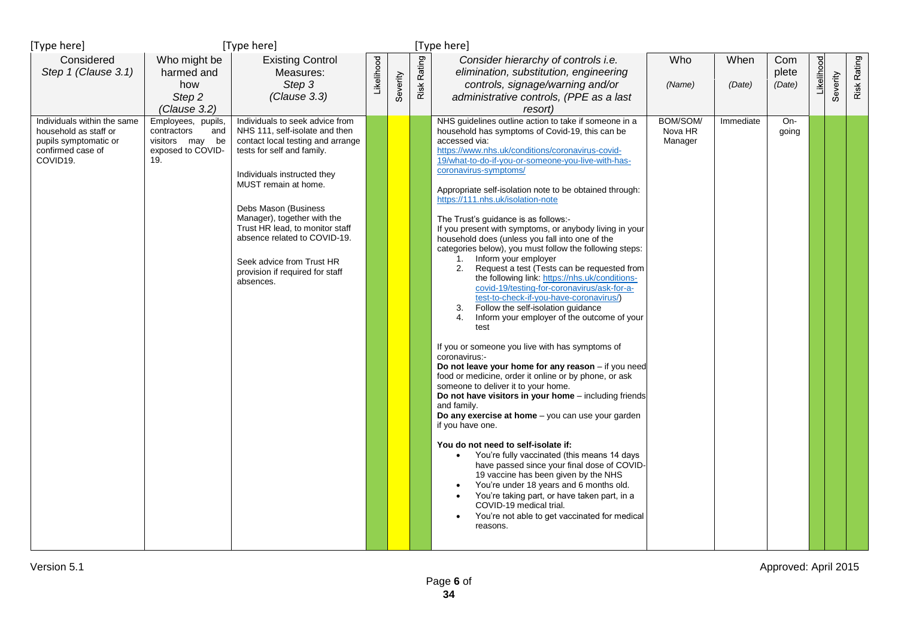| [Type here]                                                                                                    |                                                                                         | [Type here]                                                                                                                                                                                                                                                                                                                                                                                        |            |          |             | [Type here]                                                                                                                                                                                                                                                                                                                                                                                                                                                                                                                                                                                                                                                                                                                                                                                                                                                                                                                                                                                                                                                                                                                                                                                                                                                                                                                                                                                                                                                                                                                                                                                                                                                                    |                                |                |                        |                  |          |             |
|----------------------------------------------------------------------------------------------------------------|-----------------------------------------------------------------------------------------|----------------------------------------------------------------------------------------------------------------------------------------------------------------------------------------------------------------------------------------------------------------------------------------------------------------------------------------------------------------------------------------------------|------------|----------|-------------|--------------------------------------------------------------------------------------------------------------------------------------------------------------------------------------------------------------------------------------------------------------------------------------------------------------------------------------------------------------------------------------------------------------------------------------------------------------------------------------------------------------------------------------------------------------------------------------------------------------------------------------------------------------------------------------------------------------------------------------------------------------------------------------------------------------------------------------------------------------------------------------------------------------------------------------------------------------------------------------------------------------------------------------------------------------------------------------------------------------------------------------------------------------------------------------------------------------------------------------------------------------------------------------------------------------------------------------------------------------------------------------------------------------------------------------------------------------------------------------------------------------------------------------------------------------------------------------------------------------------------------------------------------------------------------|--------------------------------|----------------|------------------------|------------------|----------|-------------|
| Considered<br>Step 1 (Clause 3.1)                                                                              | Who might be<br>harmed and<br>how<br>Step 2<br>(Clause 3.2)                             | <b>Existing Control</b><br>Measures:<br>Step 3<br>(Clause 3.3)                                                                                                                                                                                                                                                                                                                                     | Likelihood | Severity | Risk Rating | Consider hierarchy of controls i.e.<br>elimination, substitution, engineering<br>controls, signage/warning and/or<br>administrative controls, (PPE as a last<br>resort)                                                                                                                                                                                                                                                                                                                                                                                                                                                                                                                                                                                                                                                                                                                                                                                                                                                                                                                                                                                                                                                                                                                                                                                                                                                                                                                                                                                                                                                                                                        | Who<br>(Name)                  | When<br>(Date) | Com<br>plete<br>(Date) | <b>ikelihood</b> | Severity | Risk Rating |
| Individuals within the same<br>household as staff or<br>pupils symptomatic or<br>confirmed case of<br>COVID19. | Employees, pupils,<br>contractors<br>and<br>visitors may be<br>exposed to COVID-<br>19. | Individuals to seek advice from<br>NHS 111, self-isolate and then<br>contact local testing and arrange<br>tests for self and family.<br>Individuals instructed they<br>MUST remain at home.<br>Debs Mason (Business<br>Manager), together with the<br>Trust HR lead, to monitor staff<br>absence related to COVID-19.<br>Seek advice from Trust HR<br>provision if required for staff<br>absences. |            |          |             | NHS guidelines outline action to take if someone in a<br>household has symptoms of Covid-19, this can be<br>accessed via:<br>https://www.nhs.uk/conditions/coronavirus-covid-<br>19/what-to-do-if-you-or-someone-you-live-with-has-<br>coronavirus-symptoms/<br>Appropriate self-isolation note to be obtained through:<br>https://111.nhs.uk/isolation-note<br>The Trust's guidance is as follows:-<br>If you present with symptoms, or anybody living in your<br>household does (unless you fall into one of the<br>categories below), you must follow the following steps:<br>Inform your employer<br>1.<br>Request a test (Tests can be requested from<br>2.<br>the following link: https://nhs.uk/conditions-<br>covid-19/testing-for-coronavirus/ask-for-a-<br>test-to-check-if-you-have-coronavirus/)<br>Follow the self-isolation guidance<br>3.<br>Inform your employer of the outcome of your<br>4.<br>test<br>If you or someone you live with has symptoms of<br>coronavirus:-<br>Do not leave your home for any reason - if you need<br>food or medicine, order it online or by phone, or ask<br>someone to deliver it to your home.<br>Do not have visitors in your home - including friends<br>and family.<br>Do any exercise at home - you can use your garden<br>if you have one.<br>You do not need to self-isolate if:<br>You're fully vaccinated (this means 14 days<br>$\bullet$<br>have passed since your final dose of COVID-<br>19 vaccine has been given by the NHS<br>You're under 18 years and 6 months old.<br>You're taking part, or have taken part, in a<br>COVID-19 medical trial.<br>You're not able to get vaccinated for medical<br>reasons. | BOM/SOM/<br>Nova HR<br>Manager | Immediate      | On-<br>going           |                  |          |             |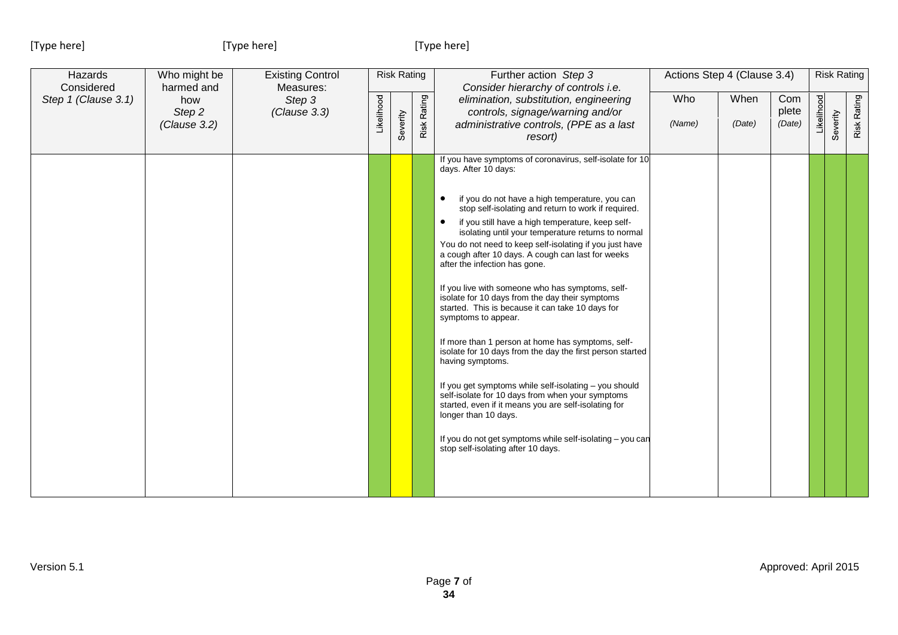| [Type here] |  |
|-------------|--|
|-------------|--|

| Hazards<br>Considered | Who might be<br>harmed and    | <b>Existing Control</b><br>Measures: |            | <b>Risk Rating</b> |             | Further action Step 3<br>Consider hierarchy of controls i.e.                                                                                                                                                                                                                                                                                                                                                                                                                                                                                                                                                                                                                                                                                                                                                                                                                                                                                                                                                                                                                              | Actions Step 4 (Clause 3.4) |                |                        |           | <b>Risk Rating</b> |             |
|-----------------------|-------------------------------|--------------------------------------|------------|--------------------|-------------|-------------------------------------------------------------------------------------------------------------------------------------------------------------------------------------------------------------------------------------------------------------------------------------------------------------------------------------------------------------------------------------------------------------------------------------------------------------------------------------------------------------------------------------------------------------------------------------------------------------------------------------------------------------------------------------------------------------------------------------------------------------------------------------------------------------------------------------------------------------------------------------------------------------------------------------------------------------------------------------------------------------------------------------------------------------------------------------------|-----------------------------|----------------|------------------------|-----------|--------------------|-------------|
| Step 1 (Clause 3.1)   | how<br>Step 2<br>(Clause 3.2) | Step 3<br>(Clause 3.3)               | Likelihood | Severity           | Risk Rating | elimination, substitution, engineering<br>controls, signage/warning and/or<br>administrative controls, (PPE as a last<br>resort)                                                                                                                                                                                                                                                                                                                                                                                                                                                                                                                                                                                                                                                                                                                                                                                                                                                                                                                                                          | Who<br>(Name)               | When<br>(Date) | Com<br>plete<br>(Date) | ikelihood | Severity           | Risk Rating |
|                       |                               |                                      |            |                    |             | If you have symptoms of coronavirus, self-isolate for 10<br>days. After 10 days:<br>if you do not have a high temperature, you can<br>stop self-isolating and return to work if required.<br>if you still have a high temperature, keep self-<br>$\bullet$<br>isolating until your temperature returns to normal<br>You do not need to keep self-isolating if you just have<br>a cough after 10 days. A cough can last for weeks<br>after the infection has gone.<br>If you live with someone who has symptoms, self-<br>isolate for 10 days from the day their symptoms<br>started. This is because it can take 10 days for<br>symptoms to appear.<br>If more than 1 person at home has symptoms, self-<br>isolate for 10 days from the day the first person started<br>having symptoms.<br>If you get symptoms while self-isolating – you should<br>self-isolate for 10 days from when your symptoms<br>started, even if it means you are self-isolating for<br>longer than 10 days.<br>If you do not get symptoms while self-isolating - you can<br>stop self-isolating after 10 days. |                             |                |                        |           |                    |             |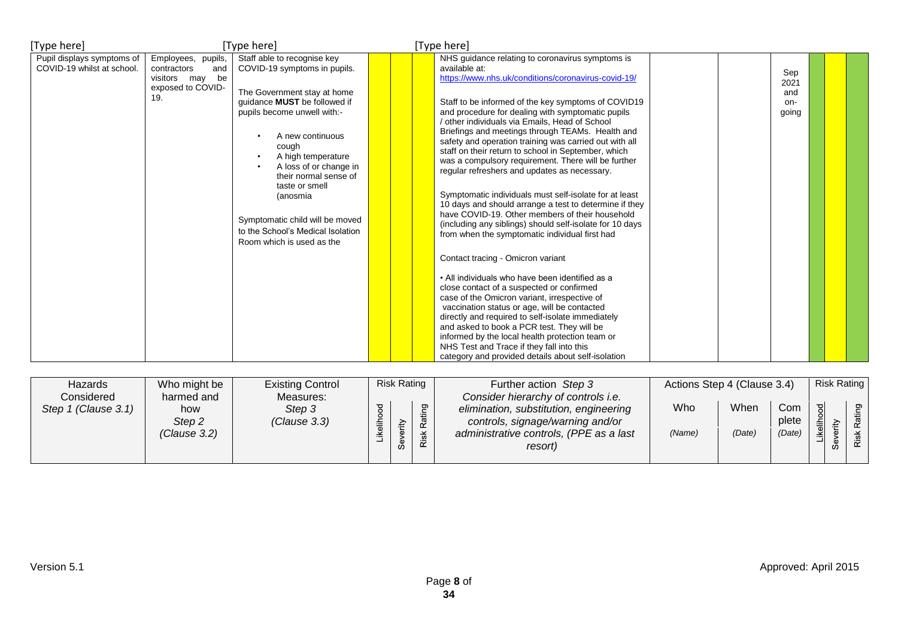| [Type here]                                              |                                                                                            | [Type here]                                                                                                                                                                                                                                                                                                                                                                                        |  | [Type here]                                                                                                                                                                                                                                                                                                                                                                                                                                                                                                                                                                                                                                                                                                                                                                                                                                                                                                                                                                                                                                                                                                                                                                                                                                                                                                                                           |                                    |  |
|----------------------------------------------------------|--------------------------------------------------------------------------------------------|----------------------------------------------------------------------------------------------------------------------------------------------------------------------------------------------------------------------------------------------------------------------------------------------------------------------------------------------------------------------------------------------------|--|-------------------------------------------------------------------------------------------------------------------------------------------------------------------------------------------------------------------------------------------------------------------------------------------------------------------------------------------------------------------------------------------------------------------------------------------------------------------------------------------------------------------------------------------------------------------------------------------------------------------------------------------------------------------------------------------------------------------------------------------------------------------------------------------------------------------------------------------------------------------------------------------------------------------------------------------------------------------------------------------------------------------------------------------------------------------------------------------------------------------------------------------------------------------------------------------------------------------------------------------------------------------------------------------------------------------------------------------------------|------------------------------------|--|
| Pupil displays symptoms of<br>COVID-19 whilst at school. | Employees, pupils,<br>contractors<br>and<br>be<br>visitors may<br>exposed to COVID-<br>19. | Staff able to recognise key<br>COVID-19 symptoms in pupils.<br>The Government stay at home<br>guidance MUST be followed if<br>pupils become unwell with:-<br>A new continuous<br>cough<br>A high temperature<br>A loss of or change in<br>their normal sense of<br>taste or smell<br>(anosmia<br>Symptomatic child will be moved<br>to the School's Medical Isolation<br>Room which is used as the |  | NHS guidance relating to coronavirus symptoms is<br>available at:<br>https://www.nhs.uk/conditions/coronavirus-covid-19/<br>Staff to be informed of the key symptoms of COVID19<br>and procedure for dealing with symptomatic pupils<br>/ other individuals via Emails, Head of School<br>Briefings and meetings through TEAMs. Health and<br>safety and operation training was carried out with all<br>staff on their return to school in September, which<br>was a compulsory requirement. There will be further<br>regular refreshers and updates as necessary.<br>Symptomatic individuals must self-isolate for at least<br>10 days and should arrange a test to determine if they<br>have COVID-19. Other members of their household<br>(including any siblings) should self-isolate for 10 days<br>from when the symptomatic individual first had<br>Contact tracing - Omicron variant<br>• All individuals who have been identified as a<br>close contact of a suspected or confirmed<br>case of the Omicron variant, irrespective of<br>vaccination status or age, will be contacted<br>directly and required to self-isolate immediately<br>and asked to book a PCR test. They will be<br>informed by the local health protection team or<br>NHS Test and Trace if they fall into this<br>category and provided details about self-isolation | Sep<br>2021<br>and<br>on-<br>going |  |

| Hazards<br>Considered | Who might be<br>harmed and               | <b>Existing Control</b><br>Measures: |            | Risk Rating            |                                      | Further action Step 3<br>Consider hierarchy of controls i.e.                                                                     | Actions Step 4 (Clause 3.4) |                |                         | <b>Risk Rating</b>             |            |
|-----------------------|------------------------------------------|--------------------------------------|------------|------------------------|--------------------------------------|----------------------------------------------------------------------------------------------------------------------------------|-----------------------------|----------------|-------------------------|--------------------------------|------------|
| Step 1 (Clause 3.1)   | how<br>Step <sub>2</sub><br>(Clause 3.2) | Step 3<br>(Clause 3.3)               | $=$<br>$=$ | ><br>≝<br><sub>c</sub> | $\equiv$<br>čč<br>$\frac{1}{2}$<br>å | elimination, substitution, engineering<br>controls, signage/warning and/or<br>administrative controls, (PPE as a last<br>resort) | Who<br>(Name)               | When<br>(Date) | Com⊹<br>plete<br>(Date) | $\overline{\phantom{0}}$<br>တိ | ူင<br>Risk |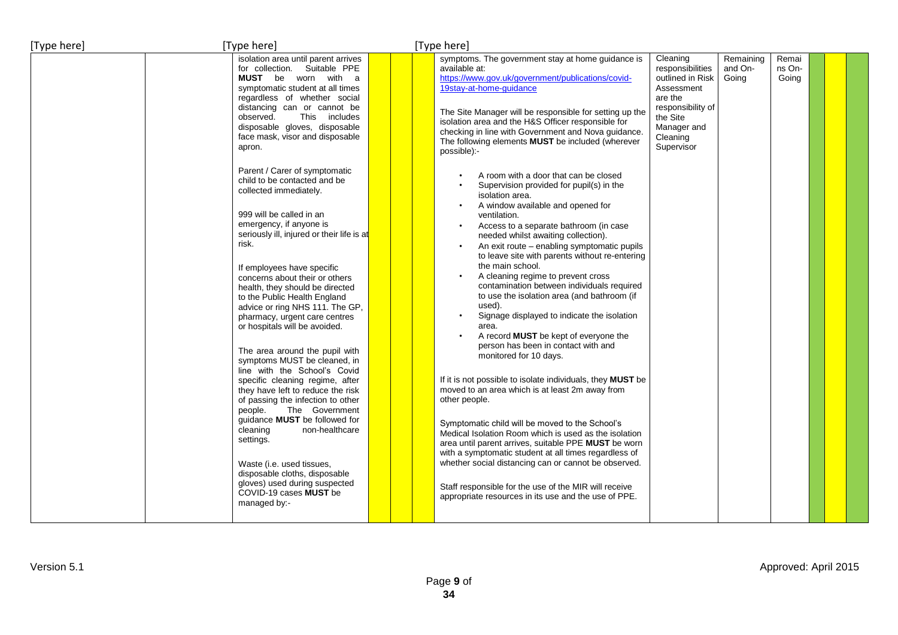| [Type here] | [Type here]                                                                                                                                                                                                                                                                                                      |  | [Type here]                                                                                                                                                                                                                                                                                                                                                                                                 |                                                                                                                                                     |                               |                          |  |
|-------------|------------------------------------------------------------------------------------------------------------------------------------------------------------------------------------------------------------------------------------------------------------------------------------------------------------------|--|-------------------------------------------------------------------------------------------------------------------------------------------------------------------------------------------------------------------------------------------------------------------------------------------------------------------------------------------------------------------------------------------------------------|-----------------------------------------------------------------------------------------------------------------------------------------------------|-------------------------------|--------------------------|--|
|             | isolation area until parent arrives<br>for collection. Suitable PPE<br><b>MUST</b> be worn with a<br>symptomatic student at all times<br>regardless of whether social<br>distancing can or cannot be<br>This includes<br>observed.<br>disposable gloves, disposable<br>face mask, visor and disposable<br>apron. |  | symptoms. The government stay at home guidance is<br>available at:<br>https://www.gov.uk/government/publications/covid-<br>19stay-at-home-guidance<br>The Site Manager will be responsible for setting up the<br>isolation area and the H&S Officer responsible for<br>checking in line with Government and Nova guidance.<br>The following elements MUST be included (wherever<br>possible):-              | Cleaning<br>responsibilities<br>outlined in Risk<br>Assessment<br>are the<br>responsibility of<br>the Site<br>Manager and<br>Cleaning<br>Supervisor | Remaining<br>and On-<br>Going | Remai<br>ns On-<br>Going |  |
|             | Parent / Carer of symptomatic<br>child to be contacted and be<br>collected immediately.<br>999 will be called in an<br>emergency, if anyone is<br>seriously ill, injured or their life is at<br>risk.                                                                                                            |  | A room with a door that can be closed<br>Supervision provided for pupil(s) in the<br>isolation area.<br>A window available and opened for<br>$\bullet$<br>ventilation.<br>Access to a separate bathroom (in case<br>$\bullet$<br>needed whilst awaiting collection).<br>An exit route – enabling symptomatic pupils                                                                                         |                                                                                                                                                     |                               |                          |  |
|             | If employees have specific<br>concerns about their or others<br>health, they should be directed<br>to the Public Health England<br>advice or ring NHS 111. The GP,<br>pharmacy, urgent care centres<br>or hospitals will be avoided.<br>The area around the pupil with                                           |  | to leave site with parents without re-entering<br>the main school.<br>A cleaning regime to prevent cross<br>$\bullet$<br>contamination between individuals required<br>to use the isolation area (and bathroom (if<br>used).<br>Signage displayed to indicate the isolation<br>$\bullet$<br>area.<br>A record MUST be kept of everyone the<br>person has been in contact with and<br>monitored for 10 days. |                                                                                                                                                     |                               |                          |  |
|             | symptoms MUST be cleaned, in<br>line with the School's Covid<br>specific cleaning regime, after<br>they have left to reduce the risk<br>of passing the infection to other<br>people.<br>The Government<br>guidance MUST be followed for<br>cleaning<br>non-healthcare<br>settings.                               |  | If it is not possible to isolate individuals, they MUST be<br>moved to an area which is at least 2m away from<br>other people.<br>Symptomatic child will be moved to the School's<br>Medical Isolation Room which is used as the isolation<br>area until parent arrives, suitable PPE MUST be worn<br>with a symptomatic student at all times regardless of                                                 |                                                                                                                                                     |                               |                          |  |
|             | Waste (i.e. used tissues,<br>disposable cloths, disposable<br>gloves) used during suspected<br>COVID-19 cases MUST be<br>managed by:-                                                                                                                                                                            |  | whether social distancing can or cannot be observed.<br>Staff responsible for the use of the MIR will receive<br>appropriate resources in its use and the use of PPE.                                                                                                                                                                                                                                       |                                                                                                                                                     |                               |                          |  |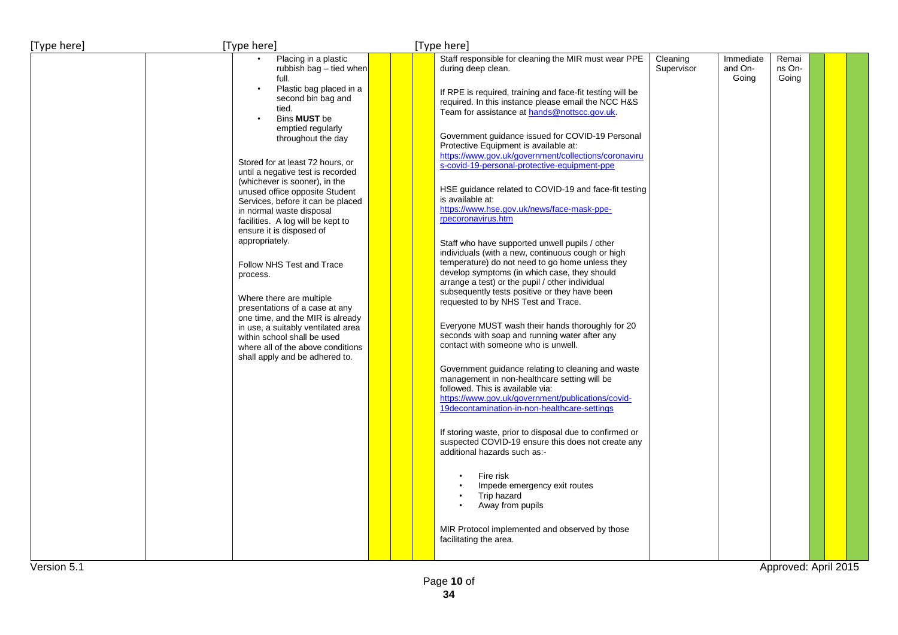| [Type here] | [Type here]                                                                                                                                                                                                                                                                                                                                                                                                                                                                                                                                                                                                                                                                                                                                                          | [Type here]                                                                                                                                                                                                                                                                                                                                                                                                                                                                                                                                                                                                                                                                                                                                                                                                                                                                                                                                                                                                                                                                                                                                                                                                                                                                                                                                                                                                                                                                                                                                                                                                                                                                    |                        |                               |                          |  |
|-------------|----------------------------------------------------------------------------------------------------------------------------------------------------------------------------------------------------------------------------------------------------------------------------------------------------------------------------------------------------------------------------------------------------------------------------------------------------------------------------------------------------------------------------------------------------------------------------------------------------------------------------------------------------------------------------------------------------------------------------------------------------------------------|--------------------------------------------------------------------------------------------------------------------------------------------------------------------------------------------------------------------------------------------------------------------------------------------------------------------------------------------------------------------------------------------------------------------------------------------------------------------------------------------------------------------------------------------------------------------------------------------------------------------------------------------------------------------------------------------------------------------------------------------------------------------------------------------------------------------------------------------------------------------------------------------------------------------------------------------------------------------------------------------------------------------------------------------------------------------------------------------------------------------------------------------------------------------------------------------------------------------------------------------------------------------------------------------------------------------------------------------------------------------------------------------------------------------------------------------------------------------------------------------------------------------------------------------------------------------------------------------------------------------------------------------------------------------------------|------------------------|-------------------------------|--------------------------|--|
|             | Placing in a plastic<br>rubbish bag - tied when<br>full.<br>Plastic bag placed in a<br>second bin bag and<br>tied.<br>Bins MUST be<br>emptied regularly<br>throughout the day<br>Stored for at least 72 hours, or<br>until a negative test is recorded<br>(whichever is sooner), in the<br>unused office opposite Student<br>Services, before it can be placed<br>in normal waste disposal<br>facilities. A log will be kept to<br>ensure it is disposed of<br>appropriately.<br>Follow NHS Test and Trace<br>process.<br>Where there are multiple<br>presentations of a case at any<br>one time, and the MIR is already<br>in use, a suitably ventilated area<br>within school shall be used<br>where all of the above conditions<br>shall apply and be adhered to. | Staff responsible for cleaning the MIR must wear PPE<br>during deep clean.<br>If RPE is required, training and face-fit testing will be<br>required. In this instance please email the NCC H&S<br>Team for assistance at hands@nottscc.gov.uk.<br>Government guidance issued for COVID-19 Personal<br>Protective Equipment is available at:<br>https://www.gov.uk/government/collections/coronaviru<br>s-covid-19-personal-protective-equipment-ppe<br>HSE guidance related to COVID-19 and face-fit testing<br>is available at:<br>https://www.hse.gov.uk/news/face-mask-ppe-<br>rpecoronavirus.htm<br>Staff who have supported unwell pupils / other<br>individuals (with a new, continuous cough or high<br>temperature) do not need to go home unless they<br>develop symptoms (in which case, they should<br>arrange a test) or the pupil / other individual<br>subsequently tests positive or they have been<br>requested to by NHS Test and Trace.<br>Everyone MUST wash their hands thoroughly for 20<br>seconds with soap and running water after any<br>contact with someone who is unwell.<br>Government guidance relating to cleaning and waste<br>management in non-healthcare setting will be<br>followed. This is available via:<br>https://www.gov.uk/government/publications/covid-<br>19decontamination-in-non-healthcare-settings<br>If storing waste, prior to disposal due to confirmed or<br>suspected COVID-19 ensure this does not create any<br>additional hazards such as:-<br>Fire risk<br>Impede emergency exit routes<br>Trip hazard<br>Away from pupils<br>$\bullet$<br>MIR Protocol implemented and observed by those<br>facilitating the area. | Cleaning<br>Supervisor | Immediate<br>and On-<br>Going | Remai<br>ns On-<br>Going |  |
| Version 5.1 |                                                                                                                                                                                                                                                                                                                                                                                                                                                                                                                                                                                                                                                                                                                                                                      |                                                                                                                                                                                                                                                                                                                                                                                                                                                                                                                                                                                                                                                                                                                                                                                                                                                                                                                                                                                                                                                                                                                                                                                                                                                                                                                                                                                                                                                                                                                                                                                                                                                                                |                        |                               | Approved: April 2015     |  |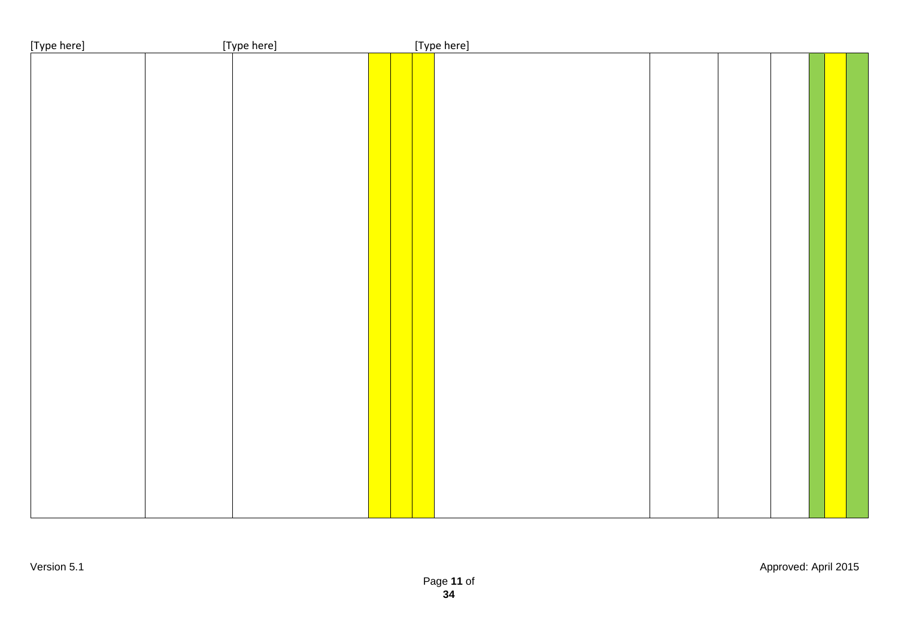| [Type here] | [Type here] |  | [Type here] |  |  |  |
|-------------|-------------|--|-------------|--|--|--|
|             |             |  |             |  |  |  |
|             |             |  |             |  |  |  |
|             |             |  |             |  |  |  |
|             |             |  |             |  |  |  |
|             |             |  |             |  |  |  |
|             |             |  |             |  |  |  |
|             |             |  |             |  |  |  |
|             |             |  |             |  |  |  |
|             |             |  |             |  |  |  |
|             |             |  |             |  |  |  |
|             |             |  |             |  |  |  |
|             |             |  |             |  |  |  |
|             |             |  |             |  |  |  |
|             |             |  |             |  |  |  |
|             |             |  |             |  |  |  |
|             |             |  |             |  |  |  |
|             |             |  |             |  |  |  |
|             |             |  |             |  |  |  |
|             |             |  |             |  |  |  |
|             |             |  |             |  |  |  |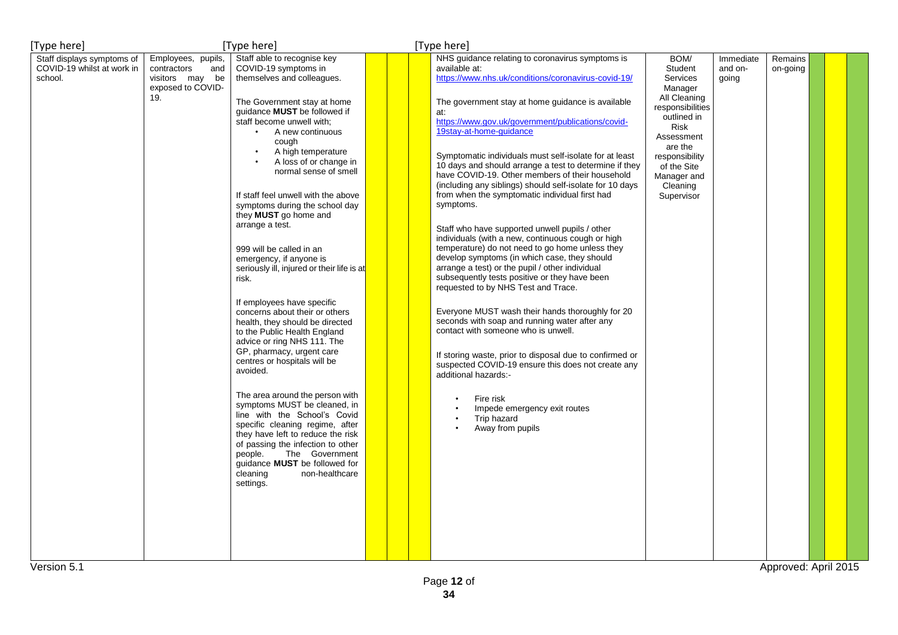| [Type here]                                                         |                                                                                         | [Type here]                                                                                                                                                                                                                                                                                                                                                                                                                                                                                                                                                                                                                                                                                                                                                                                                                                                                                                                                                                                                                                                                                       |  | [Type here]                                                                                                                                                                                                                                                                                                                                                                                                                                                                                                                                                                                                                                                                                                                                                                                                                                                                                                                                                                                                                                                                                                                                                                                                                                                                                      |                                                                                                                                                                                                      |                               |                      |  |
|---------------------------------------------------------------------|-----------------------------------------------------------------------------------------|---------------------------------------------------------------------------------------------------------------------------------------------------------------------------------------------------------------------------------------------------------------------------------------------------------------------------------------------------------------------------------------------------------------------------------------------------------------------------------------------------------------------------------------------------------------------------------------------------------------------------------------------------------------------------------------------------------------------------------------------------------------------------------------------------------------------------------------------------------------------------------------------------------------------------------------------------------------------------------------------------------------------------------------------------------------------------------------------------|--|--------------------------------------------------------------------------------------------------------------------------------------------------------------------------------------------------------------------------------------------------------------------------------------------------------------------------------------------------------------------------------------------------------------------------------------------------------------------------------------------------------------------------------------------------------------------------------------------------------------------------------------------------------------------------------------------------------------------------------------------------------------------------------------------------------------------------------------------------------------------------------------------------------------------------------------------------------------------------------------------------------------------------------------------------------------------------------------------------------------------------------------------------------------------------------------------------------------------------------------------------------------------------------------------------|------------------------------------------------------------------------------------------------------------------------------------------------------------------------------------------------------|-------------------------------|----------------------|--|
| Staff displays symptoms of<br>COVID-19 whilst at work in<br>school. | Employees, pupils,<br>contractors<br>and<br>visitors may be<br>exposed to COVID-<br>19. | Staff able to recognise key<br>COVID-19 symptoms in<br>themselves and colleagues.<br>The Government stay at home<br>quidance <b>MUST</b> be followed if<br>staff become unwell with;<br>A new continuous<br>cough<br>A high temperature<br>A loss of or change in<br>normal sense of smell<br>If staff feel unwell with the above<br>symptoms during the school day<br>they MUST go home and<br>arrange a test.<br>999 will be called in an<br>emergency, if anyone is<br>seriously ill, injured or their life is at<br>risk.<br>If employees have specific<br>concerns about their or others<br>health, they should be directed<br>to the Public Health England<br>advice or ring NHS 111. The<br>GP, pharmacy, urgent care<br>centres or hospitals will be<br>avoided.<br>The area around the person with<br>symptoms MUST be cleaned, in<br>line with the School's Covid<br>specific cleaning regime, after<br>they have left to reduce the risk<br>of passing the infection to other<br>people.<br>The Government<br>guidance MUST be followed for<br>cleaning<br>non-healthcare<br>settings. |  | NHS quidance relating to coronavirus symptoms is<br>available at:<br>https://www.nhs.uk/conditions/coronavirus-covid-19/<br>The government stay at home guidance is available<br>at:<br>https://www.gov.uk/government/publications/covid-<br>19stay-at-home-guidance<br>Symptomatic individuals must self-isolate for at least<br>10 days and should arrange a test to determine if they<br>have COVID-19. Other members of their household<br>(including any siblings) should self-isolate for 10 days<br>from when the symptomatic individual first had<br>symptoms.<br>Staff who have supported unwell pupils / other<br>individuals (with a new, continuous cough or high<br>temperature) do not need to go home unless they<br>develop symptoms (in which case, they should<br>arrange a test) or the pupil / other individual<br>subsequently tests positive or they have been<br>requested to by NHS Test and Trace.<br>Everyone MUST wash their hands thoroughly for 20<br>seconds with soap and running water after any<br>contact with someone who is unwell.<br>If storing waste, prior to disposal due to confirmed or<br>suspected COVID-19 ensure this does not create any<br>additional hazards:-<br>Fire risk<br>Impede emergency exit routes<br>Trip hazard<br>Away from pupils | BOM/<br>Student<br>Services<br>Manager<br>All Cleaning<br>responsibilities<br>outlined in<br>Risk<br>Assessment<br>are the<br>responsibility<br>of the Site<br>Manager and<br>Cleaning<br>Supervisor | Immediate<br>and on-<br>going | Remains<br>on-going  |  |
| Version 5.1                                                         |                                                                                         |                                                                                                                                                                                                                                                                                                                                                                                                                                                                                                                                                                                                                                                                                                                                                                                                                                                                                                                                                                                                                                                                                                   |  |                                                                                                                                                                                                                                                                                                                                                                                                                                                                                                                                                                                                                                                                                                                                                                                                                                                                                                                                                                                                                                                                                                                                                                                                                                                                                                  |                                                                                                                                                                                                      |                               | Approved: April 2015 |  |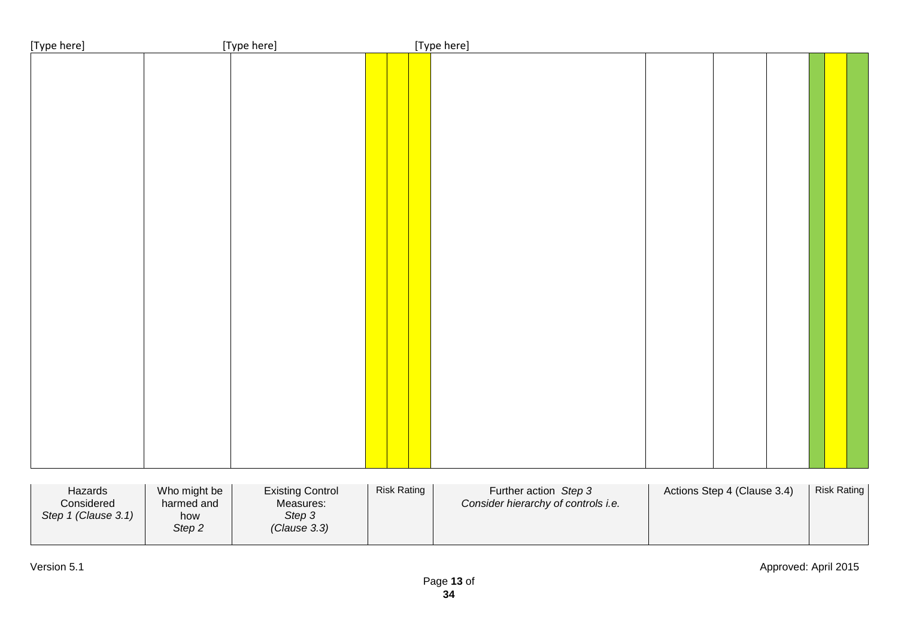| [Type here] | [Type here] | [Type here] |  |
|-------------|-------------|-------------|--|
|             |             |             |  |
|             |             |             |  |
|             |             |             |  |
|             |             |             |  |
|             |             |             |  |
|             |             |             |  |
|             |             |             |  |
|             |             |             |  |
|             |             |             |  |
|             |             |             |  |
|             |             |             |  |
|             |             |             |  |
|             |             |             |  |
|             |             |             |  |
|             |             |             |  |
|             |             |             |  |
|             |             |             |  |
|             |             |             |  |
|             |             |             |  |
|             |             |             |  |
|             |             |             |  |
|             |             |             |  |
|             |             |             |  |
|             |             |             |  |
|             |             |             |  |
|             |             |             |  |
|             |             |             |  |
|             |             |             |  |

| Hazards<br>Considered<br>Step 1 (Clause 3.1) | Who might be<br>harmed and<br>how<br>Step <sub>2</sub> | <b>Existing Control</b><br>Measures:<br>Step 3<br>(Clause 3.3) | <b>Risk Rating</b> | Further action Step 3<br>Consider hierarchy of controls i.e. | Actions Step 4 (Clause 3.4) | <b>Risk Rating</b> |
|----------------------------------------------|--------------------------------------------------------|----------------------------------------------------------------|--------------------|--------------------------------------------------------------|-----------------------------|--------------------|
|----------------------------------------------|--------------------------------------------------------|----------------------------------------------------------------|--------------------|--------------------------------------------------------------|-----------------------------|--------------------|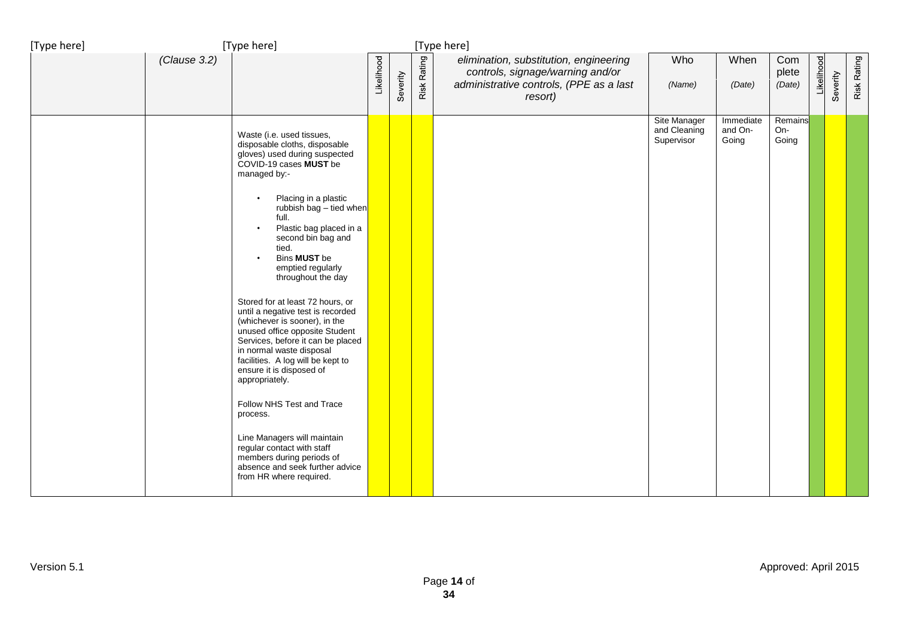| [Type here] |              | [Type here]                                                                                                                                                                                                                                                                                                                                                                                                                                                                                                                                                                                                                                                      |            |          |             | [Type here]                                                                                                                      |                                            |                               |                         |            |          |             |
|-------------|--------------|------------------------------------------------------------------------------------------------------------------------------------------------------------------------------------------------------------------------------------------------------------------------------------------------------------------------------------------------------------------------------------------------------------------------------------------------------------------------------------------------------------------------------------------------------------------------------------------------------------------------------------------------------------------|------------|----------|-------------|----------------------------------------------------------------------------------------------------------------------------------|--------------------------------------------|-------------------------------|-------------------------|------------|----------|-------------|
|             | (Clause 3.2) |                                                                                                                                                                                                                                                                                                                                                                                                                                                                                                                                                                                                                                                                  | Likelihood | Severity | Risk Rating | elimination, substitution, engineering<br>controls, signage/warning and/or<br>administrative controls, (PPE as a last<br>resort) | Who<br>(Name)                              | When<br>(Date)                | Com<br>plete<br>(Date)  | Likelihood | Severity | Risk Rating |
|             |              | Waste (i.e. used tissues,<br>disposable cloths, disposable<br>gloves) used during suspected<br>COVID-19 cases MUST be<br>managed by:-<br>Placing in a plastic<br>rubbish bag - tied when<br>full.<br>Plastic bag placed in a<br>second bin bag and<br>tied.<br>Bins MUST be<br>$\bullet$<br>emptied regularly<br>throughout the day<br>Stored for at least 72 hours, or<br>until a negative test is recorded<br>(whichever is sooner), in the<br>unused office opposite Student<br>Services, before it can be placed<br>in normal waste disposal<br>facilities. A log will be kept to<br>ensure it is disposed of<br>appropriately.<br>Follow NHS Test and Trace |            |          |             |                                                                                                                                  | Site Manager<br>and Cleaning<br>Supervisor | Immediate<br>and On-<br>Going | Remains<br>On-<br>Going |            |          |             |
|             |              | process.<br>Line Managers will maintain<br>regular contact with staff<br>members during periods of<br>absence and seek further advice<br>from HR where required.                                                                                                                                                                                                                                                                                                                                                                                                                                                                                                 |            |          |             |                                                                                                                                  |                                            |                               |                         |            |          |             |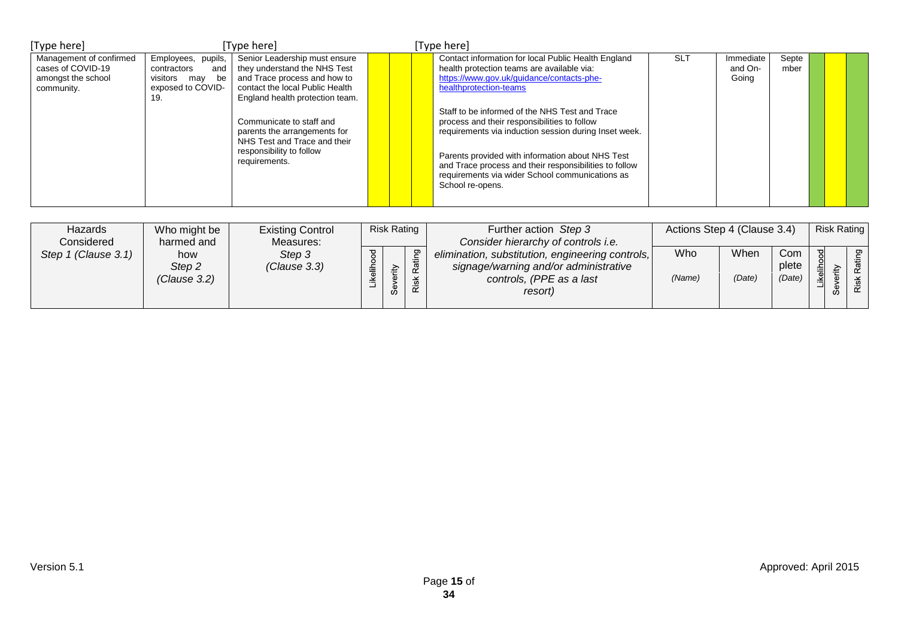| [Type here]                                                                      |                                                                                            | [Type here]                                                                                                                                                         |  | [Type here]                                                                                                                                                                                                                                                                                                                                  |                 |                               |               |  |
|----------------------------------------------------------------------------------|--------------------------------------------------------------------------------------------|---------------------------------------------------------------------------------------------------------------------------------------------------------------------|--|----------------------------------------------------------------------------------------------------------------------------------------------------------------------------------------------------------------------------------------------------------------------------------------------------------------------------------------------|-----------------|-------------------------------|---------------|--|
| Management of confirmed<br>cases of COVID-19<br>amongst the school<br>community. | Employees, pupils,<br>contractors<br>and<br>visitors may<br>be<br>exposed to COVID-<br>19. | Senior Leadership must ensure<br>they understand the NHS Test<br>and Trace process and how to<br>contact the local Public Health<br>England health protection team. |  | Contact information for local Public Health England<br>health protection teams are available via:<br>https://www.gov.uk/guidance/contacts-phe-<br>healthprotection-teams                                                                                                                                                                     | SL <sub>1</sub> | Immediate<br>and On-<br>Going | Septe<br>mber |  |
|                                                                                  |                                                                                            | Communicate to staff and<br>parents the arrangements for<br>NHS Test and Trace and their<br>responsibility to follow<br>requirements.                               |  | Staff to be informed of the NHS Test and Trace<br>process and their responsibilities to follow<br>requirements via induction session during Inset week.<br>Parents provided with information about NHS Test<br>and Trace process and their responsibilities to follow<br>requirements via wider School communications as<br>School re-opens. |                 |                               |               |  |

| Hazards<br>Considered | Who might be<br>harmed and    | <b>Existing Control</b><br>Measures: |        | <b>Risk Rating</b> |                        | Further action Step 3<br>Consider hierarchy of controls i.e.                                                                     | Actions Step 4 (Clause 3.4) |                |                        |                                                                   | <b>Risk Rating</b> |            |
|-----------------------|-------------------------------|--------------------------------------|--------|--------------------|------------------------|----------------------------------------------------------------------------------------------------------------------------------|-----------------------------|----------------|------------------------|-------------------------------------------------------------------|--------------------|------------|
| Step 1 (Clause 3.1)   | how<br>Step 2<br>(Clause 3.2) | Step 3<br>(Clause 3.3)               | ≑<br>≚ | €<br>ഗ്            | Γg<br>ഷ<br><b>Risk</b> | elimination, substitution, engineering controls,<br>signage/warning and/or administrative<br>controls, (PPE as a last<br>resort) | Who<br>(Name)               | When<br>(Date) | Com<br>plete<br>(Date) | ∸<br>$\cdot$ $-$<br>$\overline{\Phi}$<br>$\overline{\phantom{0}}$ | $-$<br>$\omega$    | ರಾ<br>Risk |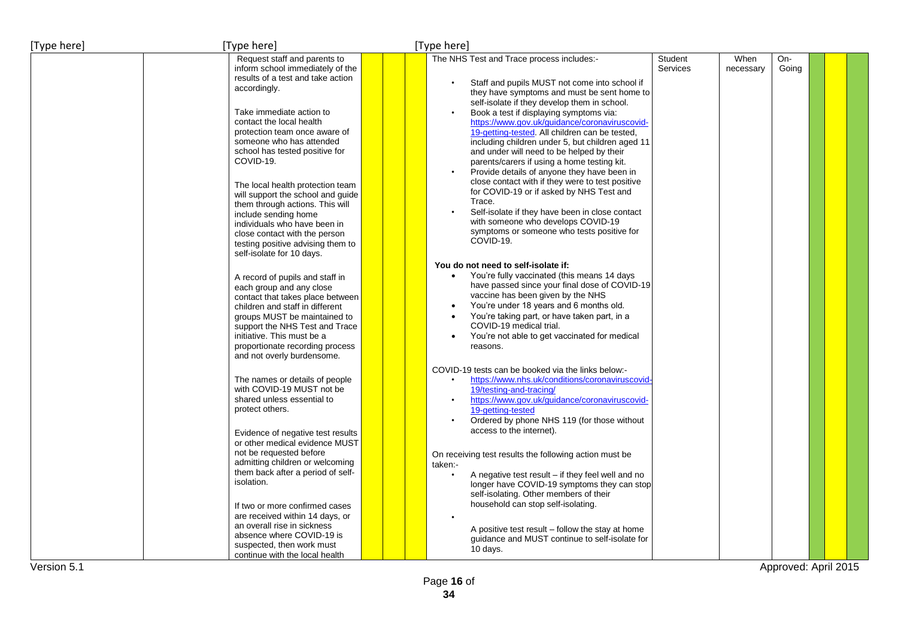| [Type here] | [Type here]                                                                                                                                                                                                                                                                                         | [Type here]                                                                                                                                                                                                                                                                                                                                                                                                                                   |                            |                   |              |                      |
|-------------|-----------------------------------------------------------------------------------------------------------------------------------------------------------------------------------------------------------------------------------------------------------------------------------------------------|-----------------------------------------------------------------------------------------------------------------------------------------------------------------------------------------------------------------------------------------------------------------------------------------------------------------------------------------------------------------------------------------------------------------------------------------------|----------------------------|-------------------|--------------|----------------------|
|             | Request staff and parents to<br>inform school immediately of the<br>results of a test and take action<br>accordingly.                                                                                                                                                                               | The NHS Test and Trace process includes:-<br>Staff and pupils MUST not come into school if<br>they have symptoms and must be sent home to                                                                                                                                                                                                                                                                                                     | Student<br><b>Services</b> | When<br>necessary | On-<br>Going |                      |
|             | Take immediate action to<br>contact the local health<br>protection team once aware of<br>someone who has attended<br>school has tested positive for<br>COVID-19.                                                                                                                                    | self-isolate if they develop them in school.<br>Book a test if displaying symptoms via:<br>https://www.gov.uk/guidance/coronaviruscovid-<br>19-getting-tested. All children can be tested,<br>including children under 5, but children aged 11<br>and under will need to be helped by their<br>parents/carers if using a home testing kit.<br>Provide details of anyone they have been in<br>close contact with if they were to test positive |                            |                   |              |                      |
|             | The local health protection team<br>will support the school and quide<br>them through actions. This will<br>include sending home<br>individuals who have been in<br>close contact with the person<br>testing positive advising them to<br>self-isolate for 10 days.                                 | for COVID-19 or if asked by NHS Test and<br>Trace.<br>Self-isolate if they have been in close contact<br>with someone who develops COVID-19<br>symptoms or someone who tests positive for<br>COVID-19.                                                                                                                                                                                                                                        |                            |                   |              |                      |
|             | A record of pupils and staff in<br>each group and any close<br>contact that takes place between<br>children and staff in different<br>groups MUST be maintained to<br>support the NHS Test and Trace<br>initiative. This must be a<br>proportionate recording process<br>and not overly burdensome. | You do not need to self-isolate if:<br>You're fully vaccinated (this means 14 days<br>have passed since your final dose of COVID-19<br>vaccine has been given by the NHS<br>You're under 18 years and 6 months old.<br>You're taking part, or have taken part, in a<br>COVID-19 medical trial.<br>You're not able to get vaccinated for medical<br>reasons.                                                                                   |                            |                   |              |                      |
|             | The names or details of people<br>with COVID-19 MUST not be<br>shared unless essential to<br>protect others.                                                                                                                                                                                        | COVID-19 tests can be booked via the links below:-<br>https://www.nhs.uk/conditions/coronaviruscovid-<br>19/testing-and-tracing/<br>https://www.gov.uk/guidance/coronaviruscovid-<br>19-getting-tested<br>Ordered by phone NHS 119 (for those without                                                                                                                                                                                         |                            |                   |              |                      |
|             | Evidence of negative test results<br>or other medical evidence MUST<br>not be requested before<br>admitting children or welcoming<br>them back after a period of self-<br>isolation.                                                                                                                | access to the internet).<br>On receiving test results the following action must be<br>taken:-<br>A negative test result $-$ if they feel well and no<br>longer have COVID-19 symptoms they can stop<br>self-isolating. Other members of their                                                                                                                                                                                                 |                            |                   |              |                      |
| Version 5.1 | If two or more confirmed cases<br>are received within 14 days, or<br>an overall rise in sickness<br>absence where COVID-19 is<br>suspected, then work must<br>continue with the local health                                                                                                        | household can stop self-isolating.<br>A positive test result – follow the stay at home<br>guidance and MUST continue to self-isolate for<br>10 days.                                                                                                                                                                                                                                                                                          |                            |                   |              | Approved: April 2015 |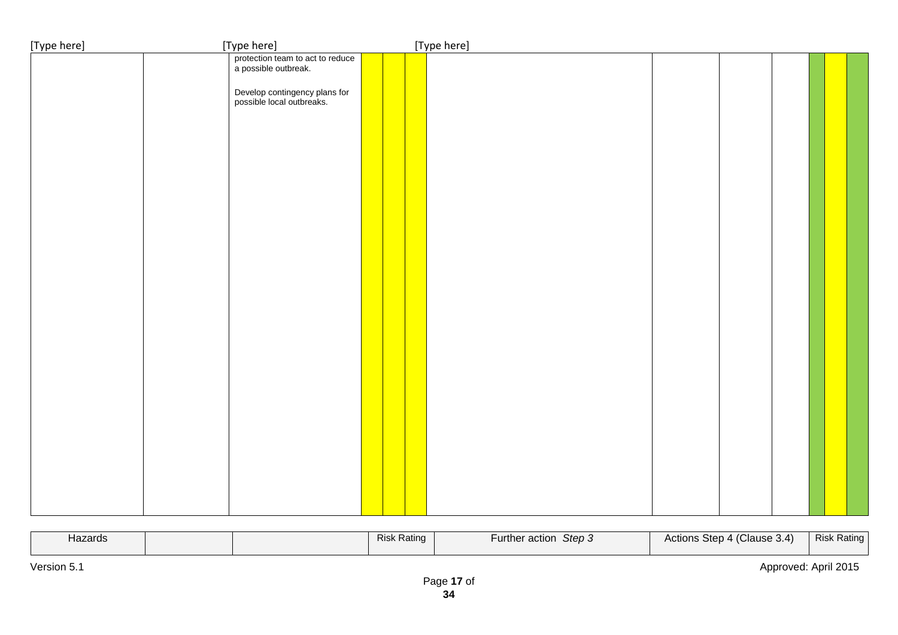| [Type here] | [Type here]                                                | [Type here] |  |
|-------------|------------------------------------------------------------|-------------|--|
|             | protection team to act to reduce<br>a possible outbreak.   |             |  |
|             | Develop contingency plans for<br>possible local outbreaks. |             |  |
|             |                                                            |             |  |
|             |                                                            |             |  |
|             |                                                            |             |  |
|             |                                                            |             |  |
|             |                                                            |             |  |
|             |                                                            |             |  |
|             |                                                            |             |  |
|             |                                                            |             |  |
|             |                                                            |             |  |
|             |                                                            |             |  |
|             |                                                            |             |  |
|             |                                                            |             |  |

| Hazards |  | <b>Risk Rating</b> | Step 3<br>rurther<br>r action. | (Clause 3.4)<br>Actions Step 4 (0) | Risk<br>∵ Rating l |
|---------|--|--------------------|--------------------------------|------------------------------------|--------------------|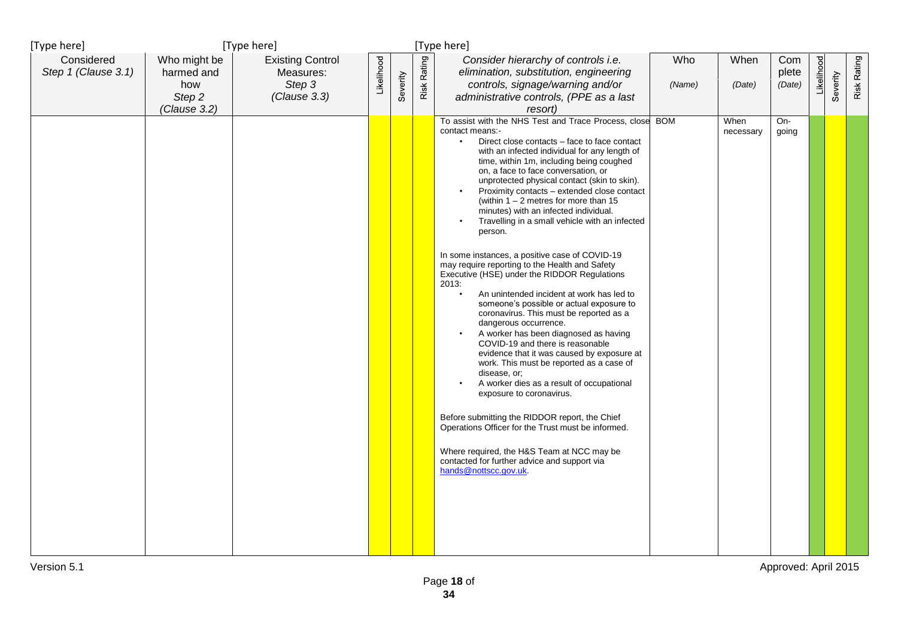| [Type here]                       |                                                             | [Type here]                                                    |            |          |             | [Type here]                                                                                                                                                                                                                                                                                                                                                                                                                                                                                                                                                                                                                                                                                                                                                                                                                                                                                                                                                                                                                                                                                                                                                                                                                                                                                                                                                                                               |               |                   |                        |            |          |             |
|-----------------------------------|-------------------------------------------------------------|----------------------------------------------------------------|------------|----------|-------------|-----------------------------------------------------------------------------------------------------------------------------------------------------------------------------------------------------------------------------------------------------------------------------------------------------------------------------------------------------------------------------------------------------------------------------------------------------------------------------------------------------------------------------------------------------------------------------------------------------------------------------------------------------------------------------------------------------------------------------------------------------------------------------------------------------------------------------------------------------------------------------------------------------------------------------------------------------------------------------------------------------------------------------------------------------------------------------------------------------------------------------------------------------------------------------------------------------------------------------------------------------------------------------------------------------------------------------------------------------------------------------------------------------------|---------------|-------------------|------------------------|------------|----------|-------------|
| Considered<br>Step 1 (Clause 3.1) | Who might be<br>harmed and<br>how<br>Step 2<br>(Clause 3.2) | <b>Existing Control</b><br>Measures:<br>Step 3<br>(Clause 3.3) | Likelihood | Severity | Risk Rating | Consider hierarchy of controls i.e.<br>elimination, substitution, engineering<br>controls, signage/warning and/or<br>administrative controls, (PPE as a last<br>resort)                                                                                                                                                                                                                                                                                                                                                                                                                                                                                                                                                                                                                                                                                                                                                                                                                                                                                                                                                                                                                                                                                                                                                                                                                                   | Who<br>(Name) | When<br>(Date)    | Com<br>plete<br>(Date) | Likelihood | Severity | Risk Rating |
|                                   |                                                             |                                                                |            |          |             | To assist with the NHS Test and Trace Process, close BOM<br>contact means:-<br>Direct close contacts – face to face contact<br>$\bullet$<br>with an infected individual for any length of<br>time, within 1m, including being coughed<br>on, a face to face conversation, or<br>unprotected physical contact (skin to skin).<br>Proximity contacts - extended close contact<br>$\bullet$<br>(within $1 - 2$ metres for more than 15<br>minutes) with an infected individual.<br>Travelling in a small vehicle with an infected<br>$\bullet$<br>person.<br>In some instances, a positive case of COVID-19<br>may require reporting to the Health and Safety<br>Executive (HSE) under the RIDDOR Regulations<br>2013:<br>An unintended incident at work has led to<br>$\bullet$<br>someone's possible or actual exposure to<br>coronavirus. This must be reported as a<br>dangerous occurrence.<br>A worker has been diagnosed as having<br>COVID-19 and there is reasonable<br>evidence that it was caused by exposure at<br>work. This must be reported as a case of<br>disease, or;<br>A worker dies as a result of occupational<br>$\bullet$<br>exposure to coronavirus.<br>Before submitting the RIDDOR report, the Chief<br>Operations Officer for the Trust must be informed.<br>Where required, the H&S Team at NCC may be<br>contacted for further advice and support via<br>hands@nottscc.gov.uk. |               | When<br>necessary | On-<br>going           |            |          |             |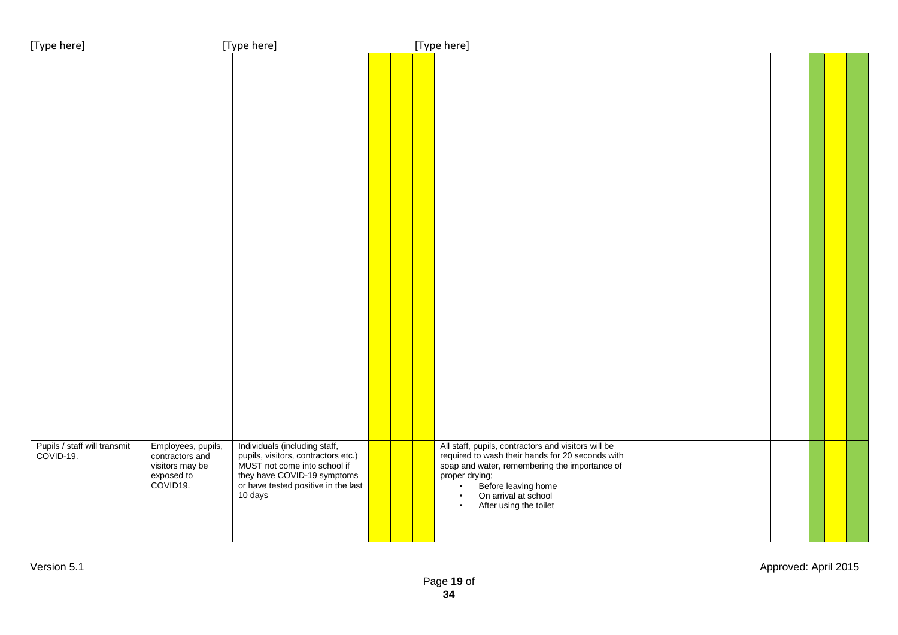| [Type here]                               |                                                                                    | [Type here]                                                                                                                                                                           |  | [Type here]                                                                                                                                                                                                                                                                                |  |  |  |
|-------------------------------------------|------------------------------------------------------------------------------------|---------------------------------------------------------------------------------------------------------------------------------------------------------------------------------------|--|--------------------------------------------------------------------------------------------------------------------------------------------------------------------------------------------------------------------------------------------------------------------------------------------|--|--|--|
|                                           |                                                                                    |                                                                                                                                                                                       |  |                                                                                                                                                                                                                                                                                            |  |  |  |
| Pupils / staff will transmit<br>COVID-19. | Employees, pupils,<br>contractors and<br>visitors may be<br>exposed to<br>COVID19. | Individuals (including staff,<br>pupils, visitors, contractors etc.)<br>MUST not come into school if<br>they have COVID-19 symptoms<br>or have tested positive in the last<br>10 days |  | All staff, pupils, contractors and visitors will be<br>required to wash their hands for 20 seconds with<br>soap and water, remembering the importance of<br>proper drying;<br>Before leaving home<br>$\bullet$<br>On arrival at school<br>$\bullet$<br>After using the toilet<br>$\bullet$ |  |  |  |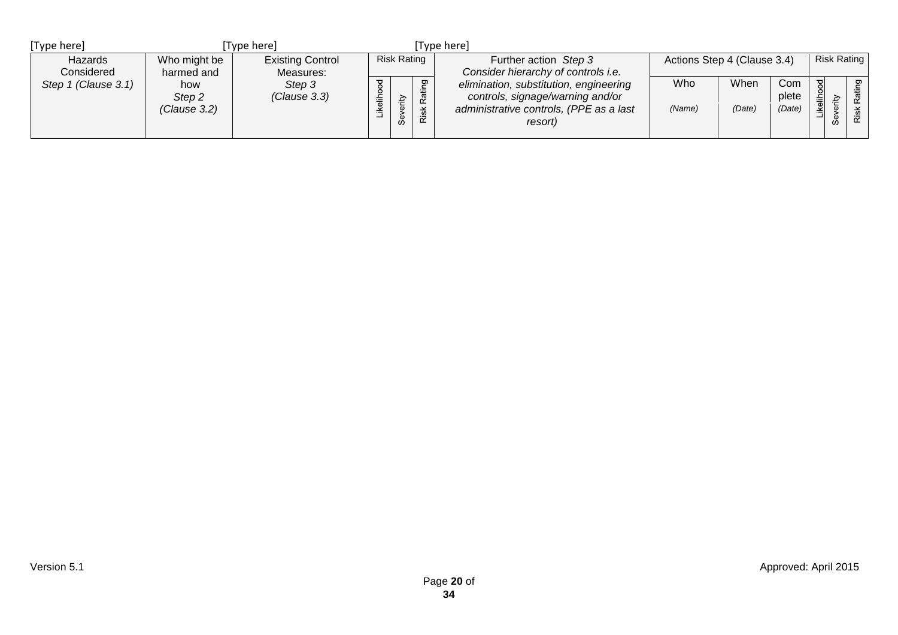| [Type here]           |                            | Type herel                           |                                    |                    |     | [Type here]                                                                |                             |        |               |        |                    |           |
|-----------------------|----------------------------|--------------------------------------|------------------------------------|--------------------|-----|----------------------------------------------------------------------------|-----------------------------|--------|---------------|--------|--------------------|-----------|
| Hazards<br>Considered | Who might be<br>harmed and | <b>Existing Control</b><br>Measures: |                                    | <b>Risk Rating</b> |     | Further action Step 3<br>Consider hierarchy of controls i.e.               | Actions Step 4 (Clause 3.4) |        |               |        | <b>Risk Rating</b> |           |
| Step 1 (Clause 3.1)   | how<br>Step 2              | Step 3<br>(Clause 3.3)               |                                    | ξİ                 | 0   | elimination, substitution, engineering<br>controls, signage/warning and/or | Who                         | When   | Com∵<br>plete | 밍      | ≐                  | Ō<br>atir |
|                       | (Clause 3.2)               |                                      | ikelih<br>$\overline{\phantom{0}}$ | ৳<br>δ<br>w        | isk | administrative controls, (PPE as a last<br>resort)                         | (Name)                      | (Date) | (Date)        | ikelih | S                  | Risk      |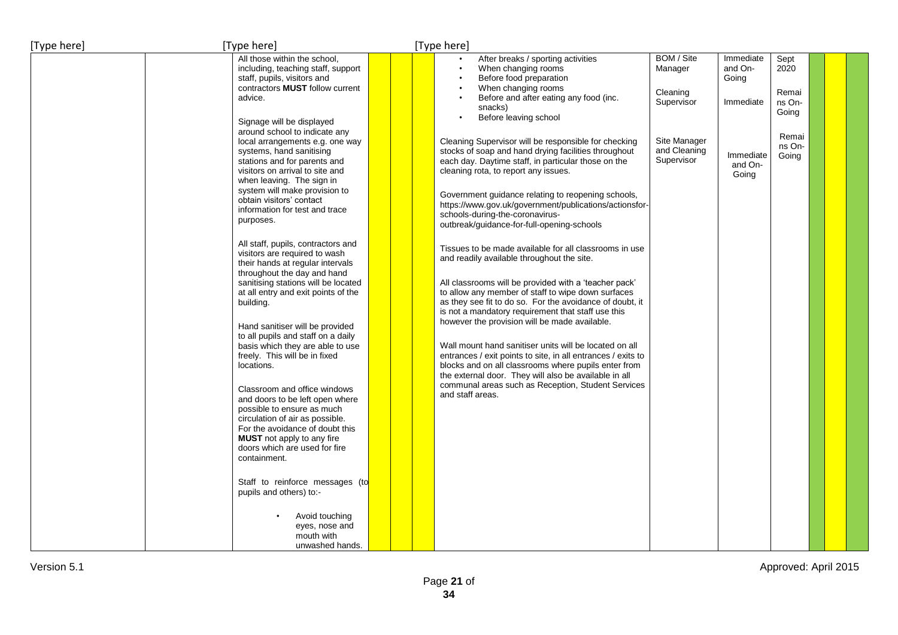| All those within the school,<br>including, teaching staff, support<br>staff, pupils, visitors and<br>contractors <b>MUST</b> follow current<br>advice.<br>Signage will be displayed<br>around school to indicate any                                                    | BOM / Site<br>After breaks / sporting activities<br>Immediate<br>Sept<br>Manager<br>and On-<br>2020<br>When changing rooms<br>$\bullet$<br>Before food preparation<br>Going<br>When changing rooms<br>Cleaning<br>Remai<br>Before and after eating any food (inc.<br>Supervisor<br>Immediate<br>ns On-<br>snacks)                                                                                                                                                                                              |
|-------------------------------------------------------------------------------------------------------------------------------------------------------------------------------------------------------------------------------------------------------------------------|----------------------------------------------------------------------------------------------------------------------------------------------------------------------------------------------------------------------------------------------------------------------------------------------------------------------------------------------------------------------------------------------------------------------------------------------------------------------------------------------------------------|
|                                                                                                                                                                                                                                                                         | Going<br>Before leaving school<br>$\bullet$<br>Remai                                                                                                                                                                                                                                                                                                                                                                                                                                                           |
| local arrangements e.g. one way<br>systems, hand sanitising<br>stations and for parents and<br>visitors on arrival to site and<br>when leaving. The sign in<br>system will make provision to<br>obtain visitors' contact<br>information for test and trace<br>purposes. | Site Manager<br>Cleaning Supervisor will be responsible for checking<br>ns On-<br>and Cleaning<br>stocks of soap and hand drying facilities throughout<br>Immediate<br>Going<br>Supervisor<br>each day. Daytime staff, in particular those on the<br>and On-<br>cleaning rota, to report any issues.<br>Going<br>Government guidance relating to reopening schools,<br>https://www.gov.uk/government/publications/actionsfor-<br>schools-during-the-coronavirus-<br>outbreak/guidance-for-full-opening-schools |
| All staff, pupils, contractors and<br>visitors are required to wash<br>their hands at regular intervals<br>throughout the day and hand<br>sanitising stations will be located<br>at all entry and exit points of the<br>building.                                       | Tissues to be made available for all classrooms in use<br>and readily available throughout the site.<br>All classrooms will be provided with a 'teacher pack'<br>to allow any member of staff to wipe down surfaces<br>as they see fit to do so. For the avoidance of doubt, it<br>is not a mandatory requirement that staff use this                                                                                                                                                                          |
| Hand sanitiser will be provided<br>to all pupils and staff on a daily<br>basis which they are able to use<br>freely. This will be in fixed<br>locations.<br>Classroom and office windows                                                                                | however the provision will be made available.<br>Wall mount hand sanitiser units will be located on all<br>entrances / exit points to site, in all entrances / exits to<br>blocks and on all classrooms where pupils enter from<br>the external door. They will also be available in all<br>communal areas such as Reception, Student Services                                                                                                                                                                 |
| and doors to be left open where<br>possible to ensure as much<br>circulation of air as possible.<br>For the avoidance of doubt this<br><b>MUST</b> not apply to any fire<br>doors which are used for fire<br>containment.                                               | and staff areas.                                                                                                                                                                                                                                                                                                                                                                                                                                                                                               |
| Staff to reinforce messages (to<br>pupils and others) to:-<br>Avoid touching<br>eyes, nose and<br>mouth with                                                                                                                                                            |                                                                                                                                                                                                                                                                                                                                                                                                                                                                                                                |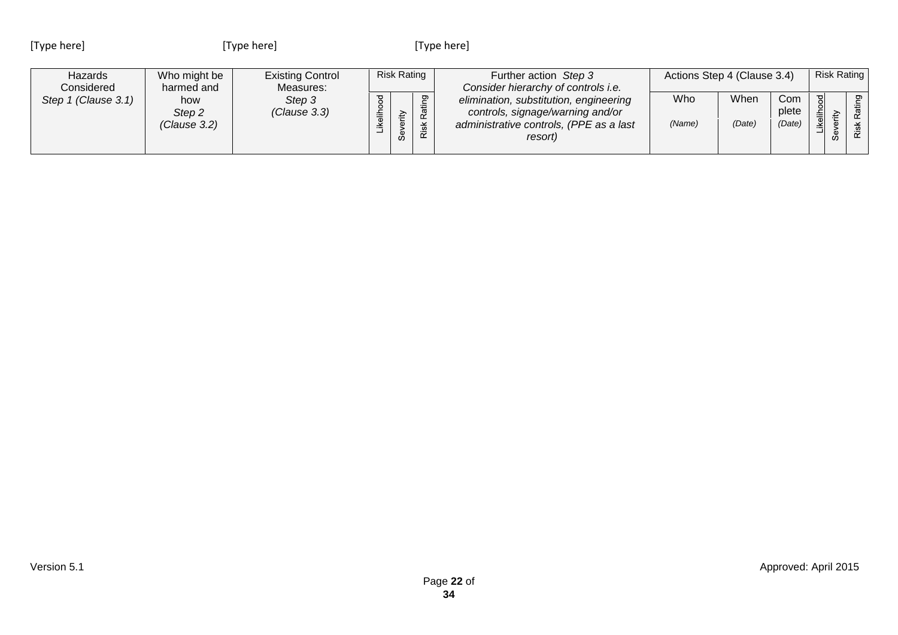| [Type here]<br>[Type here] |                            |                                      |              |                    | [Type here] |                                                                            |                             |        |              |   |             |      |
|----------------------------|----------------------------|--------------------------------------|--------------|--------------------|-------------|----------------------------------------------------------------------------|-----------------------------|--------|--------------|---|-------------|------|
| Hazards<br>Considered      | Who might be<br>harmed and | <b>Existing Control</b><br>Measures: |              | <b>Risk Rating</b> |             | Further action Step 3<br>Consider hierarchy of controls i.e.               | Actions Step 4 (Clause 3.4) |        |              |   | Risk Rating |      |
| Step 1 (Clause 3.1)        | how<br>Step <sub>2</sub>   | Step 3<br>(Clause 3.3)               | ರ<br>ikeliho |                    | တ           | elimination, substitution, engineering<br>controls, signage/warning and/or | Who                         | When   | Com<br>plete | 눇 | ₹           | ρņ   |
|                            | (Clause 3.2)               |                                      | –            | Severity           | <b>Risk</b> | administrative controls, (PPE as a last<br>resort)                         | (Name)                      | (Date) | (Date)       | ≚ | Φ<br>Ō      | Risk |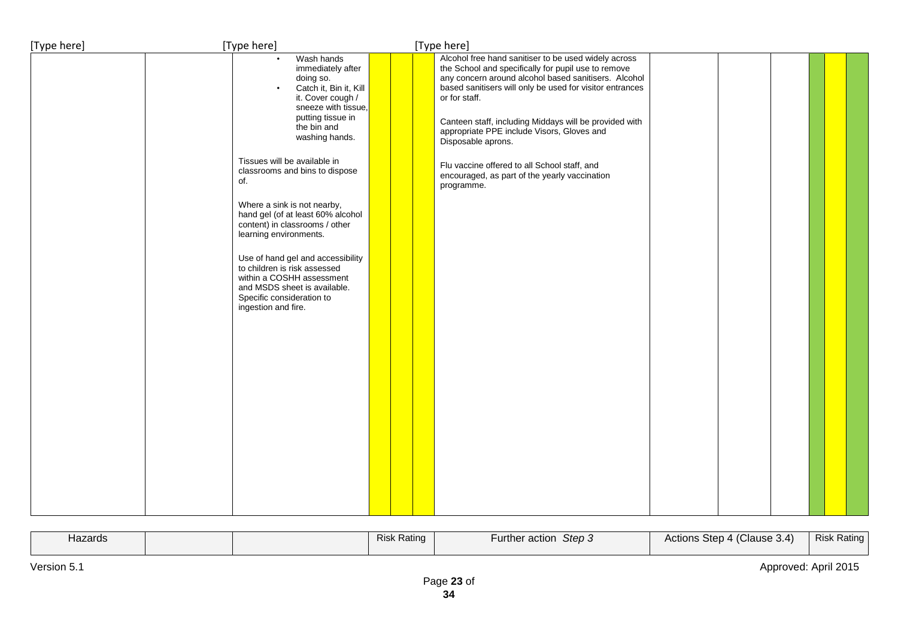| [Type here] | [Type here]                                                                                                                                                                           | [Type here]                                                                                                                                                                                                                                                                                                                                                                    |  |
|-------------|---------------------------------------------------------------------------------------------------------------------------------------------------------------------------------------|--------------------------------------------------------------------------------------------------------------------------------------------------------------------------------------------------------------------------------------------------------------------------------------------------------------------------------------------------------------------------------|--|
|             | Wash hands<br>immediately after<br>doing so.<br>Catch it, Bin it, Kill<br>$\bullet$<br>it. Cover cough /<br>sneeze with tissue,<br>putting tissue in<br>the bin and<br>washing hands. | Alcohol free hand sanitiser to be used widely across<br>the School and specifically for pupil use to remove<br>any concern around alcohol based sanitisers. Alcohol<br>based sanitisers will only be used for visitor entrances<br>or for staff.<br>Canteen staff, including Middays will be provided with<br>appropriate PPE include Visors, Gloves and<br>Disposable aprons. |  |
|             | Tissues will be available in<br>classrooms and bins to dispose<br>of.                                                                                                                 | Flu vaccine offered to all School staff, and<br>encouraged, as part of the yearly vaccination<br>programme.                                                                                                                                                                                                                                                                    |  |
|             | Where a sink is not nearby,<br>hand gel (of at least 60% alcohol<br>content) in classrooms / other<br>learning environments.                                                          |                                                                                                                                                                                                                                                                                                                                                                                |  |
|             | Use of hand gel and accessibility<br>to children is risk assessed<br>within a COSHH assessment<br>and MSDS sheet is available.<br>Specific consideration to<br>ingestion and fire.    |                                                                                                                                                                                                                                                                                                                                                                                |  |
|             |                                                                                                                                                                                       |                                                                                                                                                                                                                                                                                                                                                                                |  |
|             |                                                                                                                                                                                       |                                                                                                                                                                                                                                                                                                                                                                                |  |
|             |                                                                                                                                                                                       |                                                                                                                                                                                                                                                                                                                                                                                |  |

| Hazards | <b>Risk Rating</b> | Step 3<br>-urther<br>r action. | Actions Step 4 (Clause 3. | Risk F<br>Rating |
|---------|--------------------|--------------------------------|---------------------------|------------------|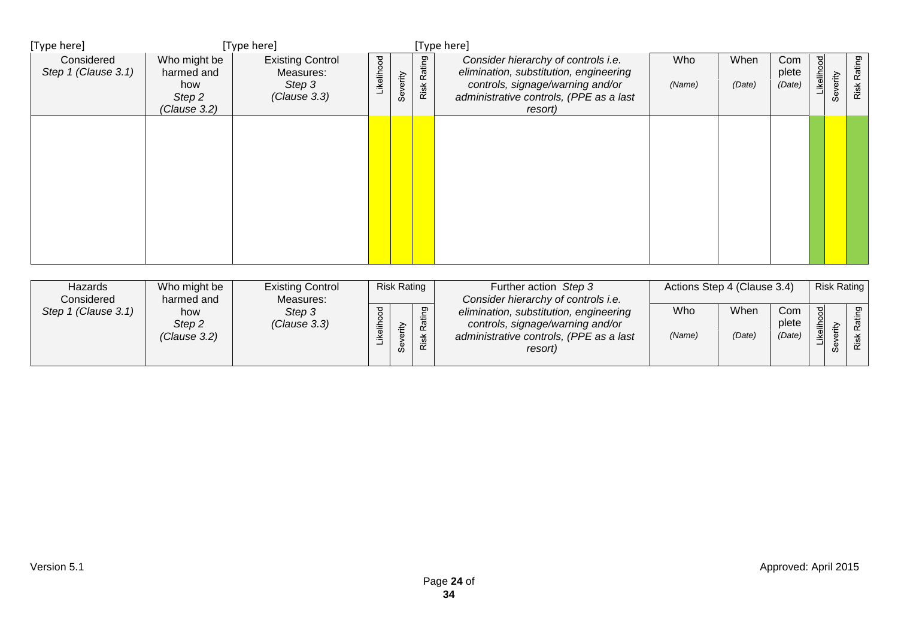| [Type here]                       |                                             | [Type here]                                                    |            |          |             | [Type here]                                                                                                                                                  |               |                |                        |         |          |             |
|-----------------------------------|---------------------------------------------|----------------------------------------------------------------|------------|----------|-------------|--------------------------------------------------------------------------------------------------------------------------------------------------------------|---------------|----------------|------------------------|---------|----------|-------------|
| Considered<br>Step 1 (Clause 3.1) | Who might be<br>harmed and<br>how<br>Step 2 | <b>Existing Control</b><br>Measures:<br>Step 3<br>(Clause 3.3) | Likelihood | Severity | Risk Rating | Consider hierarchy of controls i.e.<br>elimination, substitution, engineering<br>controls, signage/warning and/or<br>administrative controls, (PPE as a last | Who<br>(Name) | When<br>(Date) | Com<br>plete<br>(Date) | Likelih | Severity | Risk Rating |
|                                   | (Clause 3.2)                                |                                                                |            |          |             | resort)                                                                                                                                                      |               |                |                        |         |          |             |
|                                   |                                             |                                                                |            |          |             |                                                                                                                                                              |               |                |                        |         |          |             |

| Hazards<br>Considered | Who might be<br>harmed and               | <b>Existing Control</b><br>Measures: |                         | <b>Risk Rating</b> |                  | Further action Step 3<br>Consider hierarchy of controls i.e.                                                                     | Actions Step 4 (Clause 3.4) |                |                         |        |              | <b>Risk Rating</b>        |
|-----------------------|------------------------------------------|--------------------------------------|-------------------------|--------------------|------------------|----------------------------------------------------------------------------------------------------------------------------------|-----------------------------|----------------|-------------------------|--------|--------------|---------------------------|
| Step 1 (Clause 3.1)   | how<br>Step <sub>2</sub><br>(Clause 3.2) | Step 3<br>(Clause 3.3)               | $\sigma$<br>∘<br>ikelih | ₹<br>Φ<br>Φ        | $\sigma$<br>Risk | elimination, substitution, engineering<br>controls, signage/warning and/or<br>administrative controls, (PPE as a last<br>resort) | Who<br>(Name)               | When<br>(Date) | Com⊹<br>plete<br>(Date) | ikelih | <sub>0</sub> | ഊ<br>꼯<br>$\ddot{\alpha}$ |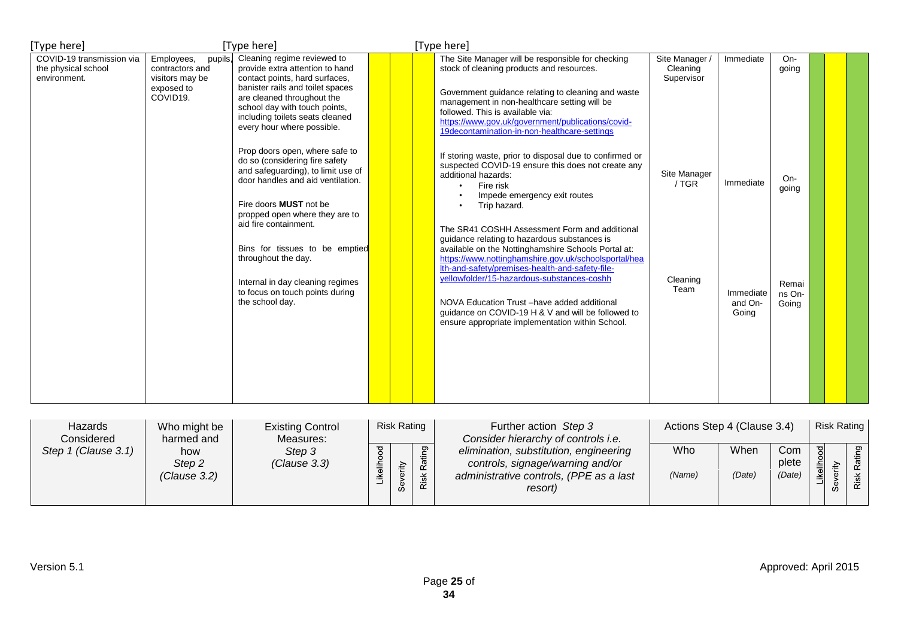| [Type here]                                                      |                                                                                       | [Type here]                                                                                                                                                                                                                                                                                                                                                                                |  | [Type here]                                                                                                                                                                                                                                                                                                                                                                                                                                                                                                                                                                                                                                                                                           |                                           |                                            |                                          |  |  |
|------------------------------------------------------------------|---------------------------------------------------------------------------------------|--------------------------------------------------------------------------------------------------------------------------------------------------------------------------------------------------------------------------------------------------------------------------------------------------------------------------------------------------------------------------------------------|--|-------------------------------------------------------------------------------------------------------------------------------------------------------------------------------------------------------------------------------------------------------------------------------------------------------------------------------------------------------------------------------------------------------------------------------------------------------------------------------------------------------------------------------------------------------------------------------------------------------------------------------------------------------------------------------------------------------|-------------------------------------------|--------------------------------------------|------------------------------------------|--|--|
| COVID-19 transmission via<br>the physical school<br>environment. | pupils,<br>Employees,<br>contractors and<br>visitors may be<br>exposed to<br>COVID19. | Cleaning regime reviewed to<br>provide extra attention to hand<br>contact points, hard surfaces,<br>banister rails and toilet spaces<br>are cleaned throughout the<br>school day with touch points,<br>including toilets seats cleaned<br>every hour where possible.                                                                                                                       |  | The Site Manager will be responsible for checking<br>stock of cleaning products and resources.<br>Government guidance relating to cleaning and waste<br>management in non-healthcare setting will be<br>followed. This is available via:<br>https://www.gov.uk/government/publications/covid-<br>19decontamination-in-non-healthcare-settings                                                                                                                                                                                                                                                                                                                                                         | Site Manager /<br>Cleaning<br>Supervisor  | Immediate                                  | On-<br>going                             |  |  |
|                                                                  |                                                                                       | Prop doors open, where safe to<br>do so (considering fire safety<br>and safeguarding), to limit use of<br>door handles and aid ventilation.<br>Fire doors <b>MUST</b> not be<br>propped open where they are to<br>aid fire containment.<br>Bins for tissues to be emptied<br>throughout the day.<br>Internal in day cleaning regimes<br>to focus on touch points during<br>the school day. |  | If storing waste, prior to disposal due to confirmed or<br>suspected COVID-19 ensure this does not create any<br>additional hazards:<br>Fire risk<br>$\bullet$<br>Impede emergency exit routes<br>Trip hazard.<br>$\bullet$<br>The SR41 COSHH Assessment Form and additional<br>quidance relating to hazardous substances is<br>available on the Nottinghamshire Schools Portal at:<br>https://www.nottinghamshire.gov.uk/schoolsportal/hea<br>Ith-and-safety/premises-health-and-safety-file-<br>yellowfolder/15-hazardous-substances-coshh<br>NOVA Education Trust -have added additional<br>quidance on COVID-19 H & V and will be followed to<br>ensure appropriate implementation within School. | Site Manager<br>/ TGR<br>Cleaning<br>Team | Immediate<br>Immediate<br>and On-<br>Going | On-<br>going<br>Remai<br>ns On-<br>Going |  |  |

| Hazards<br>Considered | Who might be<br>harmed and               | <b>Existing Control</b><br>Measures: |                                         | <b>Risk Rating</b> |                      | Further action Step 3<br>Consider hierarchy of controls i.e.                                                                     | Actions Step 4 (Clause 3.4) |                |                        |     |   | <b>Risk Rating</b> |
|-----------------------|------------------------------------------|--------------------------------------|-----------------------------------------|--------------------|----------------------|----------------------------------------------------------------------------------------------------------------------------------|-----------------------------|----------------|------------------------|-----|---|--------------------|
| Step 1 (Clause 3.1)   | how<br>Step <sub>2</sub><br>(Clause 3.2) | Step 3<br>(Clause 3.3)               | $\sigma$<br>$\circ$<br>ikelih<br>$\sim$ | ₹<br>৳<br>δ.<br>w  | Ō<br>Ra<br>УSI.<br>Œ | elimination, substitution, engineering<br>controls, signage/warning and/or<br>administrative controls, (PPE as a last<br>resort) | Who<br>(Name)               | When<br>(Date) | Com<br>plete<br>(Date) | $-$ | ∽ | ting<br>Risk       |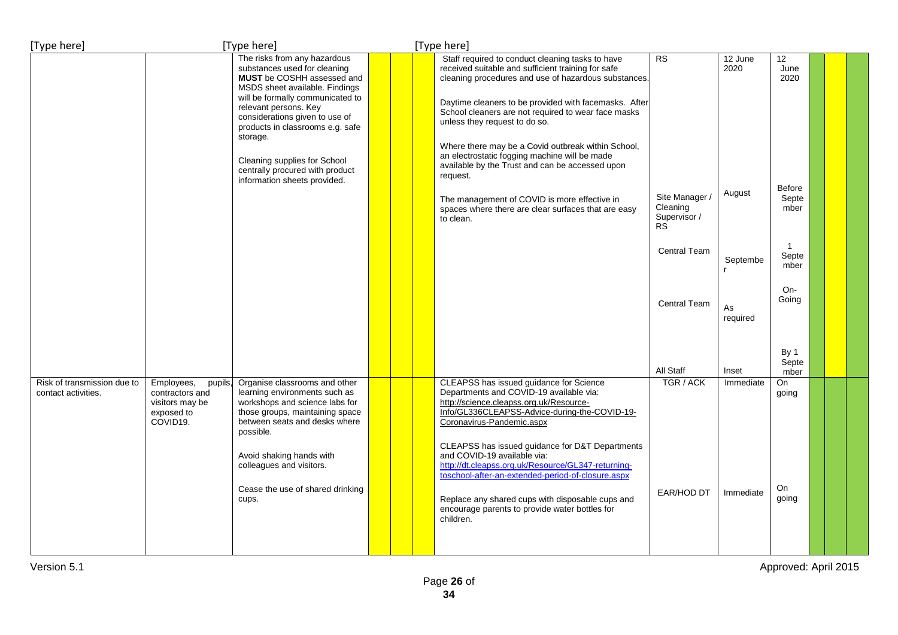| [Type here]                                        |                                                                                       | [Type here]                                                                                                                                                                                                                                                                                                                                                                    |  | [Type here]                                                                                                                                                                                                                                                                                                                                                                                                                                                                           |                                                         |                 |                                |  |
|----------------------------------------------------|---------------------------------------------------------------------------------------|--------------------------------------------------------------------------------------------------------------------------------------------------------------------------------------------------------------------------------------------------------------------------------------------------------------------------------------------------------------------------------|--|---------------------------------------------------------------------------------------------------------------------------------------------------------------------------------------------------------------------------------------------------------------------------------------------------------------------------------------------------------------------------------------------------------------------------------------------------------------------------------------|---------------------------------------------------------|-----------------|--------------------------------|--|
|                                                    |                                                                                       | The risks from any hazardous<br>substances used for cleaning<br>MUST be COSHH assessed and<br>MSDS sheet available. Findings<br>will be formally communicated to<br>relevant persons. Key<br>considerations given to use of<br>products in classrooms e.g. safe<br>storage.<br>Cleaning supplies for School<br>centrally procured with product<br>information sheets provided. |  | Staff required to conduct cleaning tasks to have<br>received suitable and sufficient training for safe<br>cleaning procedures and use of hazardous substances.<br>Daytime cleaners to be provided with facemasks. After<br>School cleaners are not required to wear face masks<br>unless they request to do so.<br>Where there may be a Covid outbreak within School,<br>an electrostatic fogging machine will be made<br>available by the Trust and can be accessed upon<br>request. | <b>RS</b>                                               | 12 June<br>2020 | 12<br>June<br>2020             |  |
|                                                    |                                                                                       |                                                                                                                                                                                                                                                                                                                                                                                |  | The management of COVID is more effective in<br>spaces where there are clear surfaces that are easy<br>to clean.                                                                                                                                                                                                                                                                                                                                                                      | Site Manager /<br>Cleaning<br>Supervisor /<br><b>RS</b> | August          | <b>Before</b><br>Septe<br>mber |  |
|                                                    |                                                                                       |                                                                                                                                                                                                                                                                                                                                                                                |  |                                                                                                                                                                                                                                                                                                                                                                                                                                                                                       | <b>Central Team</b>                                     | Septembe        | 1<br>Septe<br>mber             |  |
|                                                    |                                                                                       |                                                                                                                                                                                                                                                                                                                                                                                |  |                                                                                                                                                                                                                                                                                                                                                                                                                                                                                       | <b>Central Team</b>                                     | As<br>required  | On-<br>Going                   |  |
|                                                    |                                                                                       |                                                                                                                                                                                                                                                                                                                                                                                |  |                                                                                                                                                                                                                                                                                                                                                                                                                                                                                       | All Staff                                               | Inset           | By 1<br>Septe<br>mber          |  |
| Risk of transmission due to<br>contact activities. | Employees,<br>pupils,<br>contractors and<br>visitors may be<br>exposed to<br>COVID19. | Organise classrooms and other<br>learning environments such as<br>workshops and science labs for<br>those groups, maintaining space<br>between seats and desks where<br>possible.                                                                                                                                                                                              |  | CLEAPSS has issued guidance for Science<br>Departments and COVID-19 available via:<br>http://science.cleapss.org.uk/Resource-<br>Info/GL336CLEAPSS-Advice-during-the-COVID-19-<br>Coronavirus-Pandemic.aspx                                                                                                                                                                                                                                                                           | TGR / ACK                                               | Immediate       | On<br>going                    |  |
|                                                    |                                                                                       | Avoid shaking hands with<br>colleagues and visitors.<br>Cease the use of shared drinking<br>cups.                                                                                                                                                                                                                                                                              |  | CLEAPSS has issued guidance for D&T Departments<br>and COVID-19 available via:<br>http://dt.cleapss.org.uk/Resource/GL347-returning-<br>toschool-after-an-extended-period-of-closure.aspx<br>Replace any shared cups with disposable cups and<br>encourage parents to provide water bottles for                                                                                                                                                                                       | EAR/HOD DT                                              | Immediate       | On<br>going                    |  |
|                                                    |                                                                                       |                                                                                                                                                                                                                                                                                                                                                                                |  | children.                                                                                                                                                                                                                                                                                                                                                                                                                                                                             |                                                         |                 |                                |  |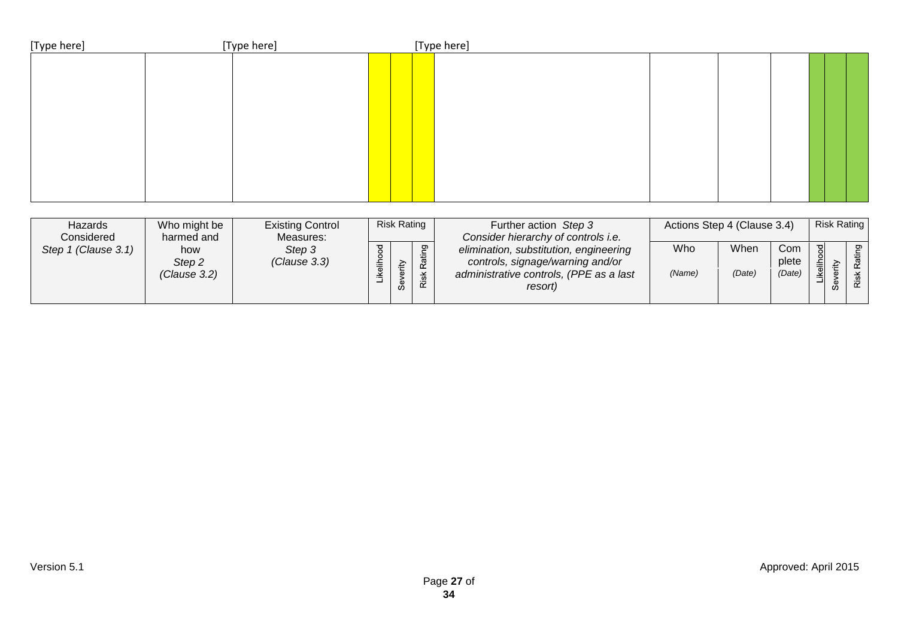| [Type here] | [Type here] |  | [Type here] |  |  |  |
|-------------|-------------|--|-------------|--|--|--|
|             |             |  |             |  |  |  |
|             |             |  |             |  |  |  |
|             |             |  |             |  |  |  |
|             |             |  |             |  |  |  |
|             |             |  |             |  |  |  |
|             |             |  |             |  |  |  |
|             |             |  |             |  |  |  |
|             |             |  |             |  |  |  |
|             |             |  |             |  |  |  |
|             |             |  |             |  |  |  |
|             |             |  |             |  |  |  |

| Hazards<br>Considered | Who might be<br>harmed and               | <b>Existing Control</b><br>Measures: |                           |                     | <b>Risk Rating</b><br>Further action Step 3<br>Consider hierarchy of controls i.e. |                                                                                                                                  | Actions Step 4 (Clause 3.4) |                |                         |        | <b>Risk Rating</b> |                |  |
|-----------------------|------------------------------------------|--------------------------------------|---------------------------|---------------------|------------------------------------------------------------------------------------|----------------------------------------------------------------------------------------------------------------------------------|-----------------------------|----------------|-------------------------|--------|--------------------|----------------|--|
| Step 1 (Clause 3.1)   | how<br>Step <sub>2</sub><br>(Clause 3.2) | Step 3<br>(Clause 3.3)               | g<br>$\circ$<br>亖<br>ikel | ξÌ<br>ōΰ<br>Šδ<br>Ō | ഊ<br>≔<br>œ<br>Risk I                                                              | elimination, substitution, engineering<br>controls, signage/warning and/or<br>administrative controls, (PPE as a last<br>resort) | Who<br>(Name)               | When<br>(Date) | Com⊹<br>plete<br>(Date) | ikelih | .<br>Ō             | Ω<br>≔<br>Risk |  |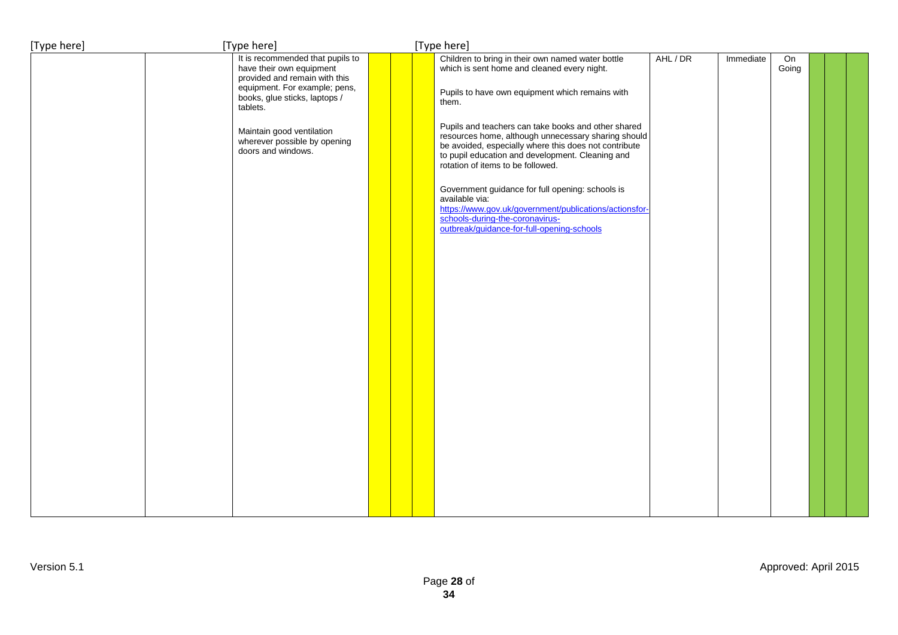| [Type here] | [Type here]                                                                                                                    |  | [Type here]                                                                                                                                                                                           |          |           |             |  |  |
|-------------|--------------------------------------------------------------------------------------------------------------------------------|--|-------------------------------------------------------------------------------------------------------------------------------------------------------------------------------------------------------|----------|-----------|-------------|--|--|
|             | It is recommended that pupils to<br>have their own equipment<br>provided and remain with this<br>equipment. For example; pens, |  | Children to bring in their own named water bottle<br>which is sent home and cleaned every night.<br>Pupils to have own equipment which remains with                                                   | AHL / DR | Immediate | On<br>Going |  |  |
|             | books, glue sticks, laptops /<br>tablets.                                                                                      |  | them.<br>Pupils and teachers can take books and other shared                                                                                                                                          |          |           |             |  |  |
|             | Maintain good ventilation<br>wherever possible by opening<br>doors and windows.                                                |  | resources home, although unnecessary sharing should<br>be avoided, especially where this does not contribute<br>to pupil education and development. Cleaning and<br>rotation of items to be followed. |          |           |             |  |  |
|             |                                                                                                                                |  | Government guidance for full opening: schools is<br>available via:<br>https://www.gov.uk/government/publications/actionsfor-<br>schools-during-the-coronavirus-                                       |          |           |             |  |  |
|             |                                                                                                                                |  | outbreak/guidance-for-full-opening-schools                                                                                                                                                            |          |           |             |  |  |
|             |                                                                                                                                |  |                                                                                                                                                                                                       |          |           |             |  |  |
|             |                                                                                                                                |  |                                                                                                                                                                                                       |          |           |             |  |  |
|             |                                                                                                                                |  |                                                                                                                                                                                                       |          |           |             |  |  |
|             |                                                                                                                                |  |                                                                                                                                                                                                       |          |           |             |  |  |
|             |                                                                                                                                |  |                                                                                                                                                                                                       |          |           |             |  |  |
|             |                                                                                                                                |  |                                                                                                                                                                                                       |          |           |             |  |  |
|             |                                                                                                                                |  |                                                                                                                                                                                                       |          |           |             |  |  |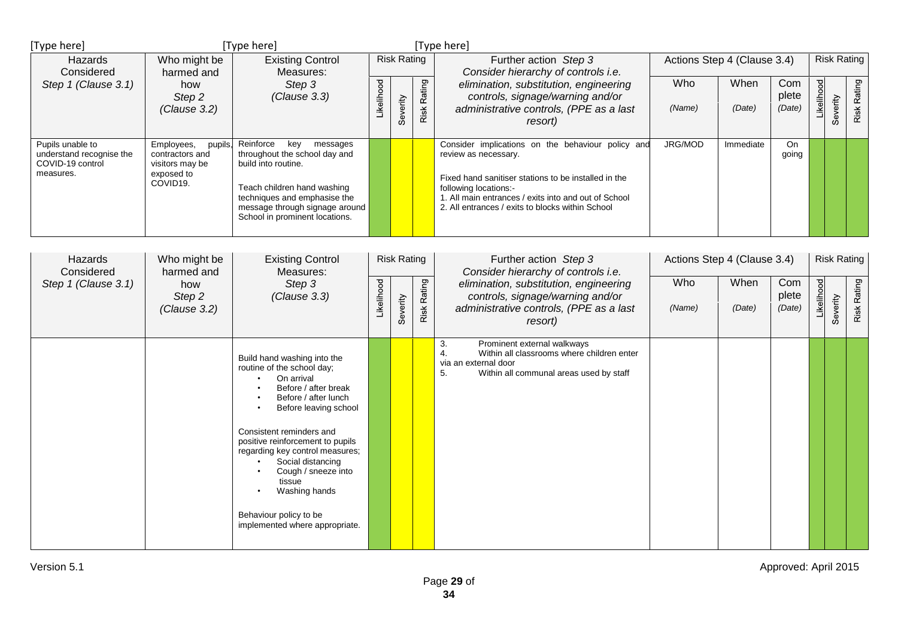| [Type here]                                                      |                                                             | [Type here]                                                                                                                     |            |                    |             | [Type here]                                                                                                                                                                              |                             |           |                    |        |          |        |
|------------------------------------------------------------------|-------------------------------------------------------------|---------------------------------------------------------------------------------------------------------------------------------|------------|--------------------|-------------|------------------------------------------------------------------------------------------------------------------------------------------------------------------------------------------|-----------------------------|-----------|--------------------|--------|----------|--------|
| Hazards<br>Considered                                            | Who might be<br>harmed and                                  | <b>Existing Control</b><br>Measures:                                                                                            |            | <b>Risk Rating</b> |             | Further action Step 3<br>Consider hierarchy of controls i.e.                                                                                                                             | Actions Step 4 (Clause 3.4) |           | Risk Rating        |        |          |        |
| Step 1 (Clause 3.1)                                              | how<br>Step 2                                               | Step 3<br>(Clause 3.3)                                                                                                          |            |                    |             | elimination, substitution, engineering<br>controls, signage/warning and/or                                                                                                               | Who                         | When      | Com<br>plete       |        |          | Rating |
|                                                                  | (Clause 3.2)                                                |                                                                                                                                 | Likelihood | Severity           | Risk Rating | administrative controls, (PPE as a last<br>resort)                                                                                                                                       | (Name)                      | (Date)    | (Date)             | ikelih | Severity | Risk   |
| Pupils unable to<br>understand recognise the<br>COVID-19 control | Employees,<br>pupils,<br>contractors and<br>visitors may be | Reinforce<br>kev<br>messages<br>throughout the school day and<br>build into routine.                                            |            |                    |             | Consider implications on the behaviour policy and<br>review as necessary.                                                                                                                | JRG/MOD                     | Immediate | <b>On</b><br>going |        |          |        |
| measures.                                                        | exposed to<br>COVID <sub>19</sub> .                         | Teach children hand washing<br>techniques and emphasise the<br>message through signage around<br>School in prominent locations. |            |                    |             | Fixed hand sanitiser stations to be installed in the<br>following locations:-<br>. All main entrances / exits into and out of School<br>2. All entrances / exits to blocks within School |                             |           |                    |        |          |        |

| Hazards<br>Considered | Who might be<br>harmed and    | <b>Existing Control</b><br>Measures:                                                                                                                                                                                                                                                                                                                                                                                          | <b>Risk Rating</b> |          |             | Further action Step 3<br>Consider hierarchy of controls i.e.                                                                                                   | Actions Step 4 (Clause 3.4) |                |                        |                                  | <b>Risk Rating</b> |                |  |
|-----------------------|-------------------------------|-------------------------------------------------------------------------------------------------------------------------------------------------------------------------------------------------------------------------------------------------------------------------------------------------------------------------------------------------------------------------------------------------------------------------------|--------------------|----------|-------------|----------------------------------------------------------------------------------------------------------------------------------------------------------------|-----------------------------|----------------|------------------------|----------------------------------|--------------------|----------------|--|
| Step 1 (Clause 3.1)   | how<br>Step 2<br>(Clause 3.2) | Step 3<br>(Clause 3.3)                                                                                                                                                                                                                                                                                                                                                                                                        | Likelihood         | Severity | Risk Rating | elimination, substitution, engineering<br>controls, signage/warning and/or<br>administrative controls, (PPE as a last<br>resort)                               | Who<br>(Name)               | When<br>(Date) | Com<br>plete<br>(Date) | $\overline{g}$<br><b>ikeliho</b> | Severity           | Rating<br>Risk |  |
|                       |                               | Build hand washing into the<br>routine of the school day;<br>On arrival<br>Before / after break<br>Before / after lunch<br>$\bullet$<br>Before leaving school<br>$\bullet$<br>Consistent reminders and<br>positive reinforcement to pupils<br>regarding key control measures;<br>Social distancing<br>Cough / sneeze into<br>tissue<br>Washing hands<br>$\bullet$<br>Behaviour policy to be<br>implemented where appropriate. |                    |          |             | 3.<br>Prominent external walkways<br>Within all classrooms where children enter<br>4.<br>via an external door<br>Within all communal areas used by staff<br>5. |                             |                |                        |                                  |                    |                |  |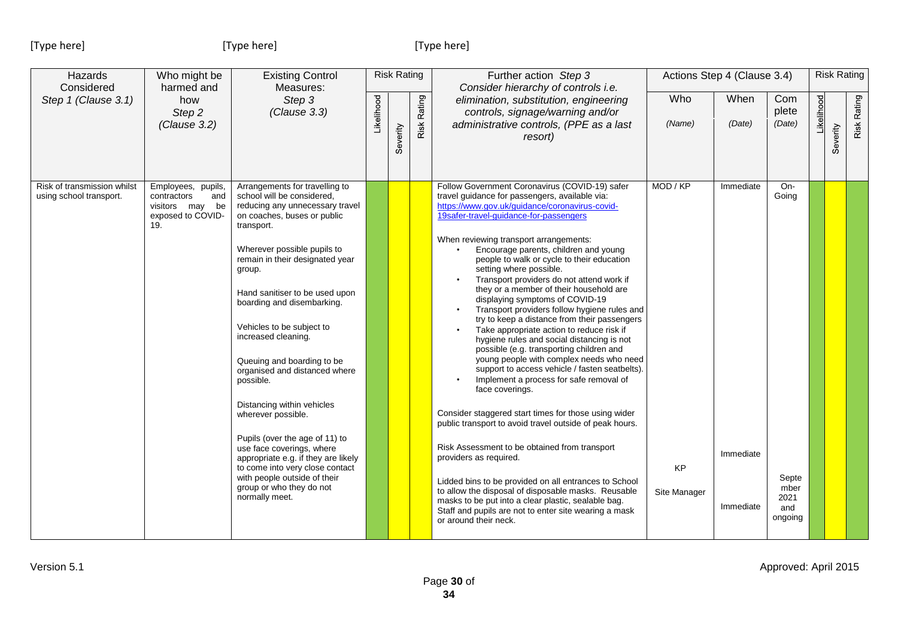| Hazards<br>Considered                                  | Who might be<br>harmed and                                                              | <b>Existing Control</b><br>Measures:                                                                                                                                                                                                                                                                                                                                                                                                                                                                           | <b>Risk Rating</b> |                            |  | Further action Step 3<br>Consider hierarchy of controls i.e.                                                                                                                                                                                                                                                                                                                                                                                                                                                                                                                                                                                                                                                                                                                                                                                                                                                                                                                                                           | Actions Step 4 (Clause 3.4) |                        |                                         | <b>Risk Rating</b> |          |             |  |
|--------------------------------------------------------|-----------------------------------------------------------------------------------------|----------------------------------------------------------------------------------------------------------------------------------------------------------------------------------------------------------------------------------------------------------------------------------------------------------------------------------------------------------------------------------------------------------------------------------------------------------------------------------------------------------------|--------------------|----------------------------|--|------------------------------------------------------------------------------------------------------------------------------------------------------------------------------------------------------------------------------------------------------------------------------------------------------------------------------------------------------------------------------------------------------------------------------------------------------------------------------------------------------------------------------------------------------------------------------------------------------------------------------------------------------------------------------------------------------------------------------------------------------------------------------------------------------------------------------------------------------------------------------------------------------------------------------------------------------------------------------------------------------------------------|-----------------------------|------------------------|-----------------------------------------|--------------------|----------|-------------|--|
| Step 1 (Clause 3.1)                                    | how<br>Step 2<br>(Clause 3.2)                                                           | Step 3<br>(Clause 3.3)                                                                                                                                                                                                                                                                                                                                                                                                                                                                                         | Likelihood         | Rating<br>Risk<br>Severity |  | elimination, substitution, engineering<br>controls, signage/warning and/or<br>administrative controls, (PPE as a last<br>resort)                                                                                                                                                                                                                                                                                                                                                                                                                                                                                                                                                                                                                                                                                                                                                                                                                                                                                       | Who<br>(Name)               | When<br>(Date)         | Com<br>plete<br>(Date)                  | <b>ikelihood</b>   | Severity | Risk Rating |  |
| Risk of transmission whilst<br>using school transport. | Employees, pupils,<br>contractors<br>and<br>visitors may be<br>exposed to COVID-<br>19. | Arrangements for travelling to<br>school will be considered,<br>reducing any unnecessary travel<br>on coaches, buses or public<br>transport.<br>Wherever possible pupils to<br>remain in their designated year<br>group.<br>Hand sanitiser to be used upon<br>boarding and disembarking.<br>Vehicles to be subject to<br>increased cleaning.<br>Queuing and boarding to be<br>organised and distanced where<br>possible.<br>Distancing within vehicles<br>wherever possible.<br>Pupils (over the age of 11) to |                    |                            |  | Follow Government Coronavirus (COVID-19) safer<br>travel guidance for passengers, available via:<br>https://www.gov.uk/guidance/coronavirus-covid-<br>19safer-travel-guidance-for-passengers<br>When reviewing transport arrangements:<br>Encourage parents, children and young<br>people to walk or cycle to their education<br>setting where possible.<br>Transport providers do not attend work if<br>they or a member of their household are<br>displaying symptoms of COVID-19<br>Transport providers follow hygiene rules and<br>try to keep a distance from their passengers<br>Take appropriate action to reduce risk if<br>hygiene rules and social distancing is not<br>possible (e.g. transporting children and<br>young people with complex needs who need<br>support to access vehicle / fasten seatbelts).<br>Implement a process for safe removal of<br>$\bullet$<br>face coverings.<br>Consider staggered start times for those using wider<br>public transport to avoid travel outside of peak hours. | MOD / KP                    | Immediate              | On-<br>Going                            |                    |          |             |  |
|                                                        |                                                                                         | use face coverings, where<br>appropriate e.g. if they are likely<br>to come into very close contact<br>with people outside of their<br>group or who they do not<br>normally meet.                                                                                                                                                                                                                                                                                                                              |                    |                            |  | Risk Assessment to be obtained from transport<br>providers as required.<br>Lidded bins to be provided on all entrances to School<br>to allow the disposal of disposable masks. Reusable<br>masks to be put into a clear plastic, sealable bag.<br>Staff and pupils are not to enter site wearing a mask<br>or around their neck.                                                                                                                                                                                                                                                                                                                                                                                                                                                                                                                                                                                                                                                                                       | KP<br>Site Manager          | Immediate<br>Immediate | Septe<br>mber<br>2021<br>and<br>ongoing |                    |          |             |  |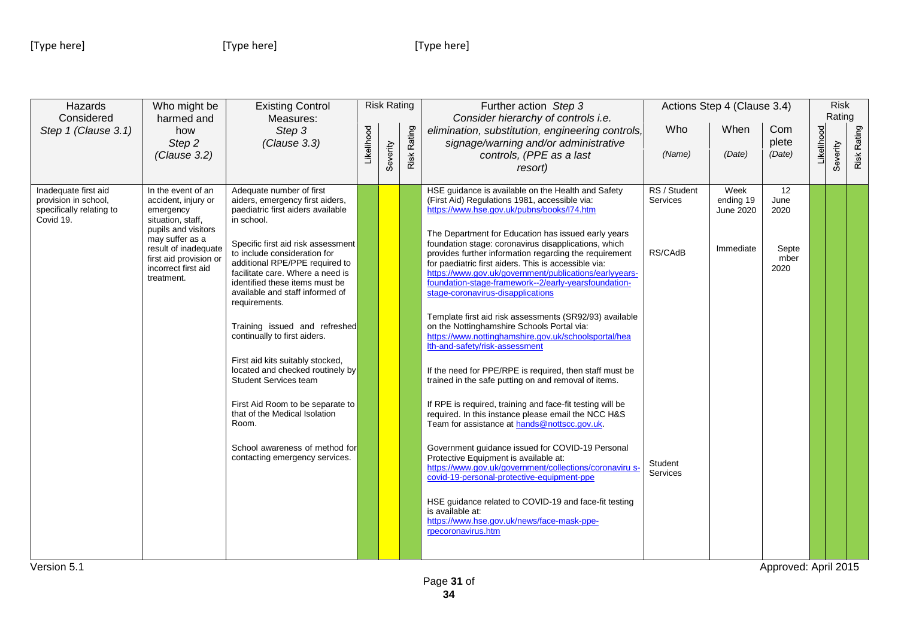[Type here] [Type here] [Type here]

| Hazards<br>Considered                                                                 | Who might be<br>harmed and                                                                                                                                                                                   | <b>Existing Control</b><br>Measures:                                                                                                                                                                                                                                                                                                                                                                                                                                                                                                                                                                                                                                        | <b>Risk Rating</b> |          |             | Further action Step 3<br>Consider hierarchy of controls i.e.                                                                                                                                                                                                                                                                                                                                                                                                                                                                                                                                                                                                                                                                                                                                                                                                                                                                                                                                                                                                                                                                                                                                                                                                                                                                                                                               | Actions Step 4 (Clause 3.4)                                |                                             |                                             |            | <b>Risk</b><br>Rating |             |  |  |
|---------------------------------------------------------------------------------------|--------------------------------------------------------------------------------------------------------------------------------------------------------------------------------------------------------------|-----------------------------------------------------------------------------------------------------------------------------------------------------------------------------------------------------------------------------------------------------------------------------------------------------------------------------------------------------------------------------------------------------------------------------------------------------------------------------------------------------------------------------------------------------------------------------------------------------------------------------------------------------------------------------|--------------------|----------|-------------|--------------------------------------------------------------------------------------------------------------------------------------------------------------------------------------------------------------------------------------------------------------------------------------------------------------------------------------------------------------------------------------------------------------------------------------------------------------------------------------------------------------------------------------------------------------------------------------------------------------------------------------------------------------------------------------------------------------------------------------------------------------------------------------------------------------------------------------------------------------------------------------------------------------------------------------------------------------------------------------------------------------------------------------------------------------------------------------------------------------------------------------------------------------------------------------------------------------------------------------------------------------------------------------------------------------------------------------------------------------------------------------------|------------------------------------------------------------|---------------------------------------------|---------------------------------------------|------------|-----------------------|-------------|--|--|
| Step 1 (Clause 3.1)                                                                   | how<br>Step 2<br>(Clause 3.2)                                                                                                                                                                                | Step 3<br>(Clause 3.3)                                                                                                                                                                                                                                                                                                                                                                                                                                                                                                                                                                                                                                                      | Likelihood         | Severity | Risk Rating | elimination, substitution, engineering controls,<br>signage/warning and/or administrative<br>controls, (PPE as a last<br>resort)                                                                                                                                                                                                                                                                                                                                                                                                                                                                                                                                                                                                                                                                                                                                                                                                                                                                                                                                                                                                                                                                                                                                                                                                                                                           | Who<br>(Name)                                              | When<br>(Date)                              | Com<br>plete<br>(Date)                      | Likelihood | Severity              | Risk Rating |  |  |
| Inadequate first aid<br>provision in school,<br>specifically relating to<br>Covid 19. | In the event of an<br>accident, injury or<br>emergency<br>situation, staff,<br>pupils and visitors<br>may suffer as a<br>result of inadequate<br>first aid provision or<br>incorrect first aid<br>treatment. | Adequate number of first<br>aiders, emergency first aiders,<br>paediatric first aiders available<br>in school.<br>Specific first aid risk assessment<br>to include consideration for<br>additional RPE/PPE required to<br>facilitate care. Where a need is<br>identified these items must be<br>available and staff informed of<br>requirements.<br>Training issued and refreshed<br>continually to first aiders.<br>First aid kits suitably stocked,<br>located and checked routinely by<br><b>Student Services team</b><br>First Aid Room to be separate to<br>that of the Medical Isolation<br>Room.<br>School awareness of method for<br>contacting emergency services. |                    |          |             | HSE guidance is available on the Health and Safety<br>(First Aid) Regulations 1981, accessible via:<br>https://www.hse.gov.uk/pubns/books/l74.htm<br>The Department for Education has issued early years<br>foundation stage: coronavirus disapplications, which<br>provides further information regarding the requirement<br>for paediatric first aiders. This is accessible via:<br>https://www.gov.uk/government/publications/earlyyears-<br>foundation-stage-framework--2/early-yearsfoundation-<br>stage-coronavirus-disapplications<br>Template first aid risk assessments (SR92/93) available<br>on the Nottinghamshire Schools Portal via:<br>https://www.nottinghamshire.gov.uk/schoolsportal/hea<br>Ith-and-safety/risk-assessment<br>If the need for PPE/RPE is required, then staff must be<br>trained in the safe putting on and removal of items.<br>If RPE is required, training and face-fit testing will be<br>required. In this instance please email the NCC H&S<br>Team for assistance at hands@nottscc.gov.uk.<br>Government guidance issued for COVID-19 Personal<br>Protective Equipment is available at:<br>https://www.gov.uk/government/collections/coronaviru s-<br>covid-19-personal-protective-equipment-ppe<br>HSE guidance related to COVID-19 and face-fit testing<br>is available at:<br>https://www.hse.gov.uk/news/face-mask-ppe-<br>rpecoronavirus.htm | RS / Student<br>Services<br>RS/CAdB<br>Student<br>Services | Week<br>ending 19<br>June 2020<br>Immediate | 12<br>June<br>2020<br>Septe<br>mber<br>2020 |            |                       |             |  |  |
| Version 5.1                                                                           |                                                                                                                                                                                                              |                                                                                                                                                                                                                                                                                                                                                                                                                                                                                                                                                                                                                                                                             |                    |          |             |                                                                                                                                                                                                                                                                                                                                                                                                                                                                                                                                                                                                                                                                                                                                                                                                                                                                                                                                                                                                                                                                                                                                                                                                                                                                                                                                                                                            |                                                            |                                             | Approved: April 2015                        |            |                       |             |  |  |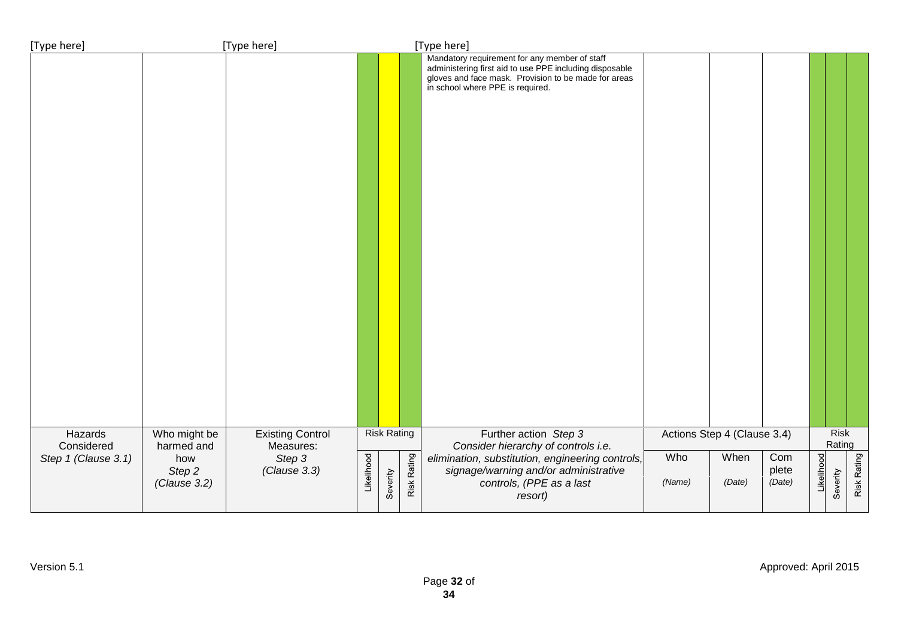|                                   |                             | [Type here]                         |            |                    |             | [Type here]                                                                                                                                                                                          |        |                             |              |            |          |             |
|-----------------------------------|-----------------------------|-------------------------------------|------------|--------------------|-------------|------------------------------------------------------------------------------------------------------------------------------------------------------------------------------------------------------|--------|-----------------------------|--------------|------------|----------|-------------|
| [Type here]                       |                             |                                     |            |                    |             | Mandatory requirement for any member of staff<br>administering first aid to use PPE including disposable<br>gloves and face mask. Provision to be made for areas<br>in school where PPE is required. |        |                             |              |            |          |             |
| Hazards                           | Who might be                | <b>Existing Control</b>             |            | <b>Risk Rating</b> |             | Further action Step 3                                                                                                                                                                                |        | Actions Step 4 (Clause 3.4) |              |            | Risk     |             |
| Considered<br>Step 1 (Clause 3.1) | harmed and<br>how<br>Step 2 | Measures:<br>Step 3<br>(Clause 3.3) |            |                    |             | Consider hierarchy of controls i.e.<br>elimination, substitution, engineering controls,<br>signage/warning and/or administrative                                                                     | Who    | When                        | Com<br>plete |            | Rating   |             |
|                                   | (Clause 3.2)                |                                     | Likelihood | Severity           | Risk Rating | controls, (PPE as a last<br>resort)                                                                                                                                                                  | (Name) | (Date)                      | (Date)       | Likelihood | Severity | Risk Rating |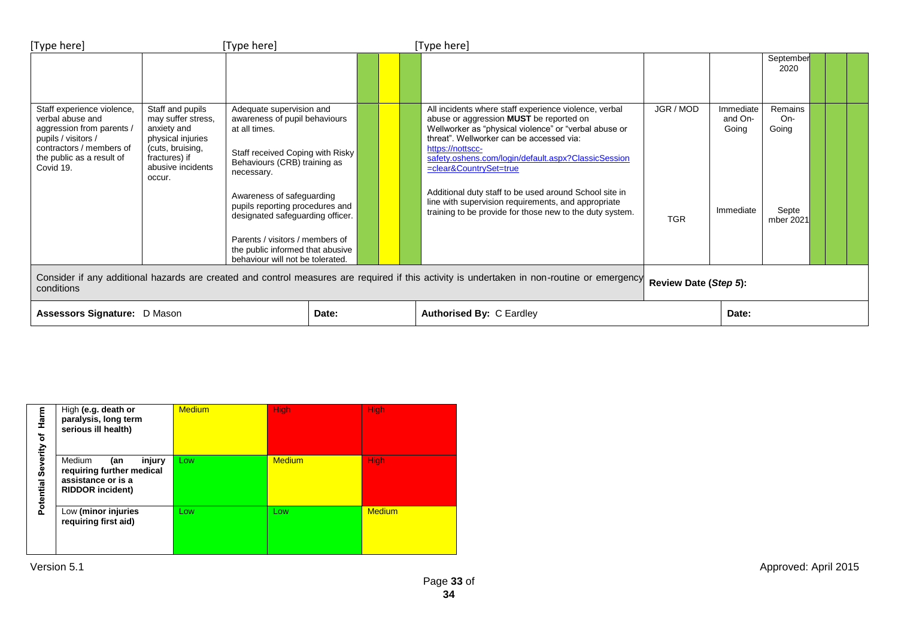| [Type here]<br>[Type here]                                                                                                                                               |                                                                                                                                                |                                                                                                                                                                                                                                                                                                                                                                             |       | [Type here] |                                                                                                                                                                                                                                                                                                                                                                                                                                                                                         |                         |                                            |                                                 |  |  |  |
|--------------------------------------------------------------------------------------------------------------------------------------------------------------------------|------------------------------------------------------------------------------------------------------------------------------------------------|-----------------------------------------------------------------------------------------------------------------------------------------------------------------------------------------------------------------------------------------------------------------------------------------------------------------------------------------------------------------------------|-------|-------------|-----------------------------------------------------------------------------------------------------------------------------------------------------------------------------------------------------------------------------------------------------------------------------------------------------------------------------------------------------------------------------------------------------------------------------------------------------------------------------------------|-------------------------|--------------------------------------------|-------------------------------------------------|--|--|--|
|                                                                                                                                                                          |                                                                                                                                                |                                                                                                                                                                                                                                                                                                                                                                             |       |             |                                                                                                                                                                                                                                                                                                                                                                                                                                                                                         |                         |                                            | September<br>2020                               |  |  |  |
| Staff experience violence,<br>verbal abuse and<br>aggression from parents /<br>pupils / visitors /<br>contractors / members of<br>the public as a result of<br>Covid 19. | Staff and pupils<br>may suffer stress,<br>anxiety and<br>physical injuries<br>(cuts, bruising,<br>fractures) if<br>abusive incidents<br>occur. | Adequate supervision and<br>awareness of pupil behaviours<br>at all times.<br>Staff received Coping with Risky<br>Behaviours (CRB) training as<br>necessary.<br>Awareness of safeguarding<br>pupils reporting procedures and<br>designated safeguarding officer.<br>Parents / visitors / members of<br>the public informed that abusive<br>behaviour will not be tolerated. |       |             | All incidents where staff experience violence, verbal<br>abuse or aggression MUST be reported on<br>Wellworker as "physical violence" or "verbal abuse or<br>threat". Wellworker can be accessed via:<br>https://nottscc-<br>safety.oshens.com/login/default.aspx?ClassicSession<br>=clear&CountrySet=true<br>Additional duty staff to be used around School site in<br>line with supervision requirements, and appropriate<br>training to be provide for those new to the duty system. | JGR / MOD<br><b>TGR</b> | Immediate<br>and On-<br>Going<br>Immediate | Remains<br>On-<br>Going<br>Septe<br>mber $2021$ |  |  |  |
| conditions                                                                                                                                                               |                                                                                                                                                |                                                                                                                                                                                                                                                                                                                                                                             |       |             | Consider if any additional hazards are created and control measures are required if this activity is undertaken in non-routine or emergency                                                                                                                                                                                                                                                                                                                                             | Review Date (Step 5):   |                                            |                                                 |  |  |  |
| <b>Assessors Signature: D Mason</b>                                                                                                                                      |                                                                                                                                                |                                                                                                                                                                                                                                                                                                                                                                             | Date: |             | <b>Authorised By: C Eardley</b>                                                                                                                                                                                                                                                                                                                                                                                                                                                         |                         | Date:                                      |                                                 |  |  |  |

| Harm                         | High (e.g. death or<br>paralysis, long term<br>serious ill health)                                    | <b>Medium</b> | <b>High</b>   | <b>High</b>   |
|------------------------------|-------------------------------------------------------------------------------------------------------|---------------|---------------|---------------|
| <b>Potential Severity of</b> | injury<br>Medium<br>(an<br>requiring further medical<br>assistance or is a<br><b>RIDDOR incident)</b> | Low           | <b>Medium</b> | <b>High</b>   |
|                              | Low (minor injuries<br>requiring first aid)                                                           | Low           | Low           | <b>Medium</b> |

Version 5.1 Approved: April 2015